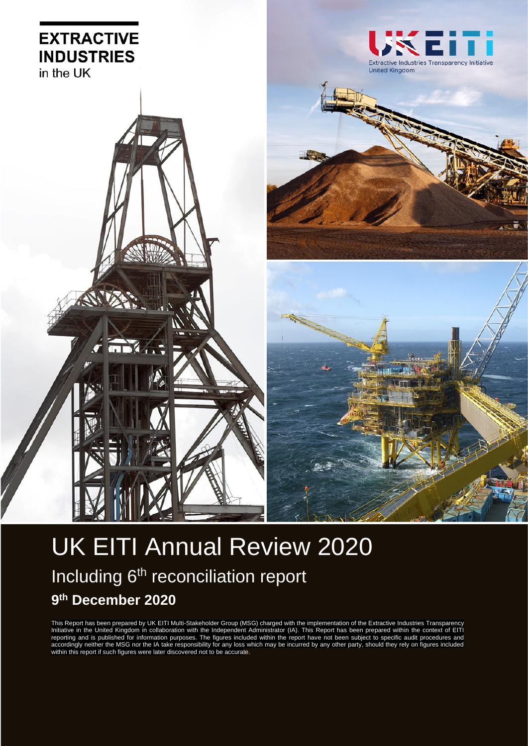

# UK EITI Annual Review 2020 Including 6<sup>th</sup> reconciliation report **9 th December 2020**

This Report has been prepared by UK EITI Multi-Stakeholder Group (MSG) charged with the implementation of the Extractive Industries Transparency Initiative in the United Kingdom in collaboration with the Independent Administrator (IA). This Report has been prepared within the context of EITI reporting and is published for information purposes. The figures included within the report have not been subject to specific audit procedures and accordingly neither the MSG nor the IA take responsibility for any loss which may be incurred by any other party, should they rely on figures included within this report if such figures were later discovered not to be accurate.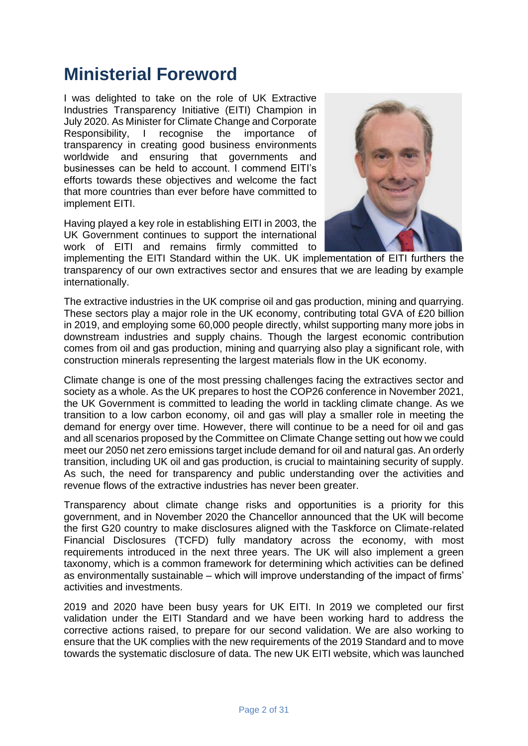# **Ministerial Foreword**

I was delighted to take on the role of UK Extractive Industries Transparency Initiative (EITI) Champion in July 2020. As Minister for Climate Change and Corporate Responsibility, I recognise the importance of transparency in creating good business environments worldwide and ensuring that governments and businesses can be held to account. I commend EITI's efforts towards these objectives and welcome the fact that more countries than ever before have committed to implement EITI.

Having played a key role in establishing EITI in 2003, the UK Government continues to support the international work of EITI and remains firmly committed to



implementing the EITI Standard within the UK. UK implementation of EITI furthers the transparency of our own extractives sector and ensures that we are leading by example internationally.

The extractive industries in the UK comprise oil and gas production, mining and quarrying. These sectors play a major role in the UK economy, contributing total GVA of £20 billion in 2019, and employing some 60,000 people directly, whilst supporting many more jobs in downstream industries and supply chains. Though the largest economic contribution comes from oil and gas production, mining and quarrying also play a significant role, with construction minerals representing the largest materials flow in the UK economy.

Climate change is one of the most pressing challenges facing the extractives sector and society as a whole. As the UK prepares to host the COP26 conference in November 2021, the UK Government is committed to leading the world in tackling climate change. As we transition to a low carbon economy, oil and gas will play a smaller role in meeting the demand for energy over time. However, there will continue to be a need for oil and gas and all scenarios proposed by the Committee on Climate Change setting out how we could meet our 2050 net zero emissions target include demand for oil and natural gas. An orderly transition, including UK oil and gas production, is crucial to maintaining security of supply. As such, the need for transparency and public understanding over the activities and revenue flows of the extractive industries has never been greater.

Transparency about climate change risks and opportunities is a priority for this government, and in November 2020 the Chancellor announced that the UK will become the first G20 country to make disclosures aligned with the Taskforce on Climate-related Financial Disclosures (TCFD) fully mandatory across the economy, with most requirements introduced in the next three years. The UK will also implement a green taxonomy, which is a common framework for determining which activities can be defined as environmentally sustainable – which will improve understanding of the impact of firms' activities and investments.

2019 and 2020 have been busy years for UK EITI. In 2019 we completed our first validation under the EITI Standard and we have been working hard to address the corrective actions raised, to prepare for our second validation. We are also working to ensure that the UK complies with the new requirements of the 2019 Standard and to move towards the systematic disclosure of data. The new UK EITI website, which was launched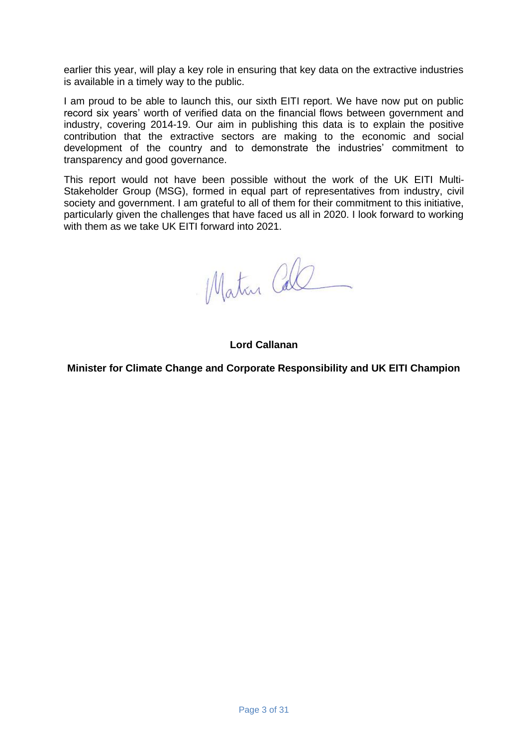earlier this year, will play a key role in ensuring that key data on the extractive industries is available in a timely way to the public.

I am proud to be able to launch this, our sixth EITI report. We have now put on public record six years' worth of verified data on the financial flows between government and industry, covering 2014-19. Our aim in publishing this data is to explain the positive contribution that the extractive sectors are making to the economic and social development of the country and to demonstrate the industries' commitment to transparency and good governance.

This report would not have been possible without the work of the UK EITI Multi-Stakeholder Group (MSG), formed in equal part of representatives from industry, civil society and government. I am grateful to all of them for their commitment to this initiative, particularly given the challenges that have faced us all in 2020. I look forward to working with them as we take UK EITI forward into 2021.

Matan Call

**Lord Callanan**

**Minister for Climate Change and Corporate Responsibility and UK EITI Champion**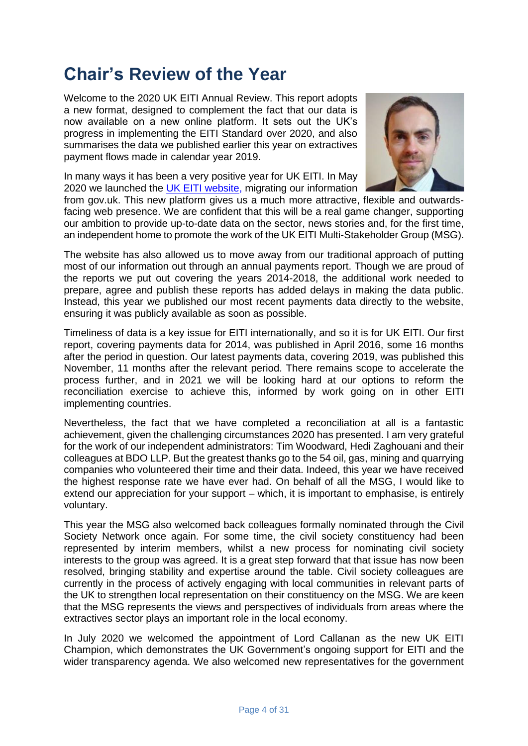# **Chair's Review of the Year**

Welcome to the 2020 UK EITI Annual Review. This report adopts a new format, designed to complement the fact that our data is now available on a new online platform. It sets out the UK's progress in implementing the EITI Standard over 2020, and also summarises the data we published earlier this year on extractives payment flows made in calendar year 2019.

In many ways it has been a very positive year for UK EITI. In May 2020 we launched the [UK EITI website,](http://www.ukeiti.org/) migrating our information



from gov.uk. This new platform gives us a much more attractive, flexible and outwardsfacing web presence. We are confident that this will be a real game changer, supporting our ambition to provide up-to-date data on the sector, news stories and, for the first time, an independent home to promote the work of the UK EITI Multi-Stakeholder Group (MSG).

The website has also allowed us to move away from our traditional approach of putting most of our information out through an annual payments report. Though we are proud of the reports we put out covering the years 2014-2018, the additional work needed to prepare, agree and publish these reports has added delays in making the data public. Instead, this year we published our most recent payments data directly to the website, ensuring it was publicly available as soon as possible.

Timeliness of data is a key issue for EITI internationally, and so it is for UK EITI. Our first report, covering payments data for 2014, was published in April 2016, some 16 months after the period in question. Our latest payments data, covering 2019, was published this November, 11 months after the relevant period. There remains scope to accelerate the process further, and in 2021 we will be looking hard at our options to reform the reconciliation exercise to achieve this, informed by work going on in other EITI implementing countries.

Nevertheless, the fact that we have completed a reconciliation at all is a fantastic achievement, given the challenging circumstances 2020 has presented. I am very grateful for the work of our independent administrators: Tim Woodward, Hedi Zaghouani and their colleagues at BDO LLP. But the greatest thanks go to the 54 oil, gas, mining and quarrying companies who volunteered their time and their data. Indeed, this year we have received the highest response rate we have ever had. On behalf of all the MSG, I would like to extend our appreciation for your support – which, it is important to emphasise, is entirely voluntary.

This year the MSG also welcomed back colleagues formally nominated through the Civil Society Network once again. For some time, the civil society constituency had been represented by interim members, whilst a new process for nominating civil society interests to the group was agreed. It is a great step forward that that issue has now been resolved, bringing stability and expertise around the table. Civil society colleagues are currently in the process of actively engaging with local communities in relevant parts of the UK to strengthen local representation on their constituency on the MSG. We are keen that the MSG represents the views and perspectives of individuals from areas where the extractives sector plays an important role in the local economy.

In July 2020 we welcomed the appointment of Lord Callanan as the new UK EITI Champion, which demonstrates the UK Government's ongoing support for EITI and the wider transparency agenda. We also welcomed new representatives for the government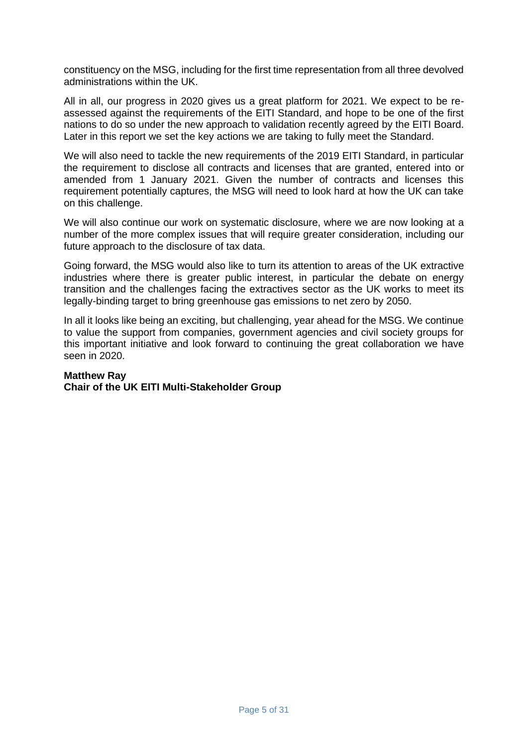constituency on the MSG, including for the first time representation from all three devolved administrations within the UK.

All in all, our progress in 2020 gives us a great platform for 2021. We expect to be reassessed against the requirements of the EITI Standard, and hope to be one of the first nations to do so under the new approach to validation recently agreed by the EITI Board. Later in this report we set the key actions we are taking to fully meet the Standard.

We will also need to tackle the new requirements of the 2019 EITI Standard, in particular the requirement to disclose all contracts and licenses that are granted, entered into or amended from 1 January 2021. Given the number of contracts and licenses this requirement potentially captures, the MSG will need to look hard at how the UK can take on this challenge.

We will also continue our work on systematic disclosure, where we are now looking at a number of the more complex issues that will require greater consideration, including our future approach to the disclosure of tax data.

Going forward, the MSG would also like to turn its attention to areas of the UK extractive industries where there is greater public interest, in particular the debate on energy transition and the challenges facing the extractives sector as the UK works to meet its legally-binding target to bring greenhouse gas emissions to net zero by 2050.

In all it looks like being an exciting, but challenging, year ahead for the MSG. We continue to value the support from companies, government agencies and civil society groups for this important initiative and look forward to continuing the great collaboration we have seen in 2020.

#### **Matthew Ray**

#### **Chair of the UK EITI Multi-Stakeholder Group**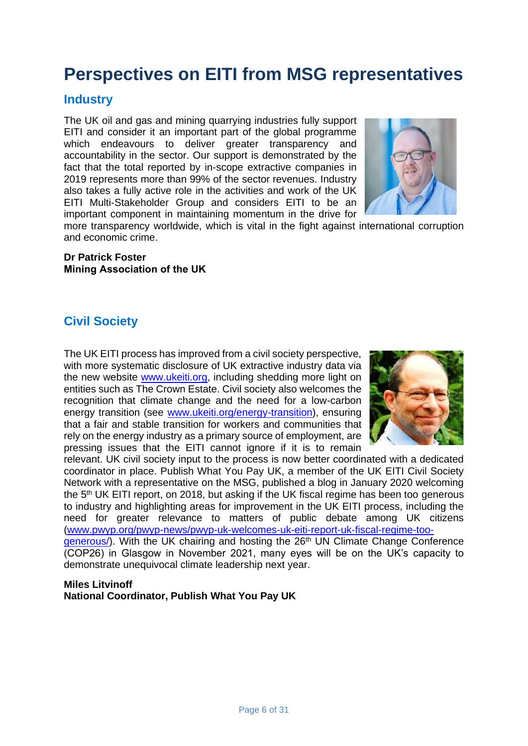# **Perspectives on EITI from MSG representatives**

#### **Industry**

The UK oil and gas and mining quarrying industries fully support EITI and consider it an important part of the global programme which endeavours to deliver greater transparency and accountability in the sector. Our support is demonstrated by the fact that the total reported by in-scope extractive companies in 2019 represents more than 99% of the sector revenues. Industry also takes a fully active role in the activities and work of the UK EITI Multi-Stakeholder Group and considers EITI to be an important component in maintaining momentum in the drive for



more transparency worldwide, which is vital in the fight against international corruption and economic crime.

**Dr Patrick Foster Mining Association of the UK**

## **Civil Society**

The UK EITI process has improved from a civil society perspective, with more systematic disclosure of UK extractive industry data via the new website [www.ukeiti.org,](www.ukeiti.org) including shedding more light on entities such as The Crown Estate. Civil society also welcomes the recognition that climate change and the need for a low-carbon energy transition (see [www.ukeiti.org/energy-transition\)](www.ukeiti.org/energy-transition), ensuring that a fair and stable transition for workers and communities that rely on the energy industry as a primary source of employment, are pressing issues that the EITI cannot ignore if it is to remain



relevant. UK civil society input to the process is now better coordinated with a dedicated coordinator in place. Publish What You Pay UK, a member of the UK EITI Civil Society Network with a representative on the MSG, published a blog in January 2020 welcoming the 5<sup>th</sup> UK EITI report, on 2018, but asking if the UK fiscal regime has been too generous to industry and highlighting areas for improvement in the UK EITI process, including the need for greater relevance to matters of public debate among UK citizens [\(www.pwyp.org/pwyp-news/pwyp-uk-welcomes-uk-eiti-report-uk-fiscal-regime-too](https://eur02.safelinks.protection.outlook.com/?url=https%3A%2F%2Fwww.pwyp.org%2Fpwyp-news%2Fpwyp-uk-welcomes-uk-eiti-report-uk-fiscal-regime-too-generous%2F&data=04%7C01%7CMichael.Nash%40beis.gov.uk%7C16e5eb2d91744f5b0b5108d88a3d6ee0%7Ccbac700502c143ebb497e6492d1b2dd8%7C0%7C0%7C637411343741647706%7CUnknown%7CTWFpbGZsb3d8eyJWIjoiMC4wLjAwMDAiLCJQIjoiV2luMzIiLCJBTiI6Ik1haWwiLCJXVCI6Mn0%3D%7C1000&sdata=6kQK341ybpT2ylcPns16QOkL6OqrKFsfIqloJTbHLPA%3D&reserved=0)generous). With the UK chairing and hosting the 26<sup>th</sup> UN Climate Change Conference

(COP26) in Glasgow in November 2021, many eyes will be on the UK's capacity to demonstrate unequivocal climate leadership next year.

#### **Miles Litvinoff National Coordinator, Publish What You Pay UK**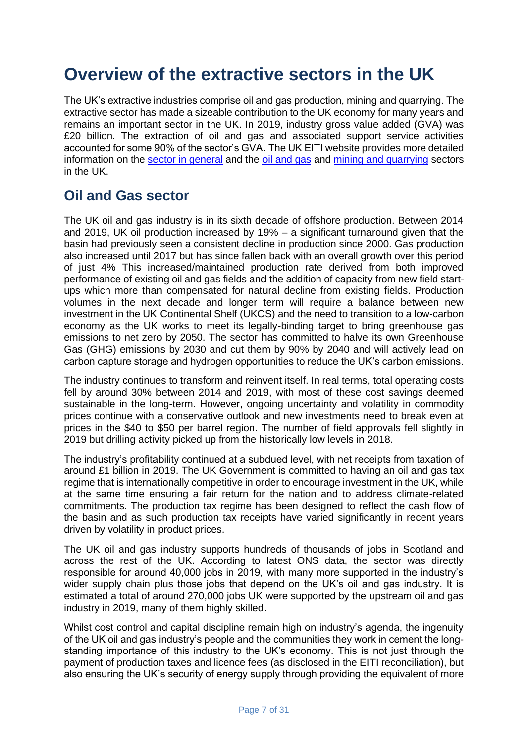# **Overview of the extractive sectors in the UK**

The UK's extractive industries comprise oil and gas production, mining and quarrying. The extractive sector has made a sizeable contribution to the UK economy for many years and remains an important sector in the UK. In 2019, industry gross value added (GVA) was £20 billion. The extraction of oil and gas and associated support service activities accounted for some 90% of the sector's GVA. The UK EITI website provides more detailed information on the [sector in general](https://www.ukeiti.org/sector-data) and the [oil and gas](https://www.ukeiti.org/oil-gas) and [mining and quarrying](https://www.ukeiti.org/mining-quarrying) sectors in the UK.

# **Oil and Gas sector**

The UK oil and gas industry is in its sixth decade of offshore production. Between 2014 and 2019, UK oil production increased by 19% – a significant turnaround given that the basin had previously seen a consistent decline in production since 2000. Gas production also increased until 2017 but has since fallen back with an overall growth over this period of just 4% This increased/maintained production rate derived from both improved performance of existing oil and gas fields and the addition of capacity from new field startups which more than compensated for natural decline from existing fields. Production volumes in the next decade and longer term will require a balance between new investment in the UK Continental Shelf (UKCS) and the need to transition to a low-carbon economy as the UK works to meet its legally-binding target to bring greenhouse gas emissions to net zero by 2050. The sector has committed to halve its own Greenhouse Gas (GHG) emissions by 2030 and cut them by 90% by 2040 and will actively lead on carbon capture storage and hydrogen opportunities to reduce the UK's carbon emissions.

The industry continues to transform and reinvent itself. In real terms, total operating costs fell by around 30% between 2014 and 2019, with most of these cost savings deemed sustainable in the long-term. However, ongoing uncertainty and volatility in commodity prices continue with a conservative outlook and new investments need to break even at prices in the \$40 to \$50 per barrel region. The number of field approvals fell slightly in 2019 but drilling activity picked up from the historically low levels in 2018.

The industry's profitability continued at a subdued level, with net receipts from taxation of around £1 billion in 2019. The UK Government is committed to having an oil and gas tax regime that is internationally competitive in order to encourage investment in the UK, while at the same time ensuring a fair return for the nation and to address climate-related commitments. The production tax regime has been designed to reflect the cash flow of the basin and as such production tax receipts have varied significantly in recent years driven by volatility in product prices.

The UK oil and gas industry supports hundreds of thousands of jobs in Scotland and across the rest of the UK. According to latest ONS data, the sector was directly responsible for around 40,000 jobs in 2019, with many more supported in the industry's wider supply chain plus those jobs that depend on the UK's oil and gas industry. It is estimated a total of around 270,000 jobs UK were supported by the upstream oil and gas industry in 2019, many of them highly skilled.

Whilst cost control and capital discipline remain high on industry's agenda, the ingenuity of the UK oil and gas industry's people and the communities they work in cement the longstanding importance of this industry to the UK's economy. This is not just through the payment of production taxes and licence fees (as disclosed in the EITI reconciliation), but also ensuring the UK's security of energy supply through providing the equivalent of more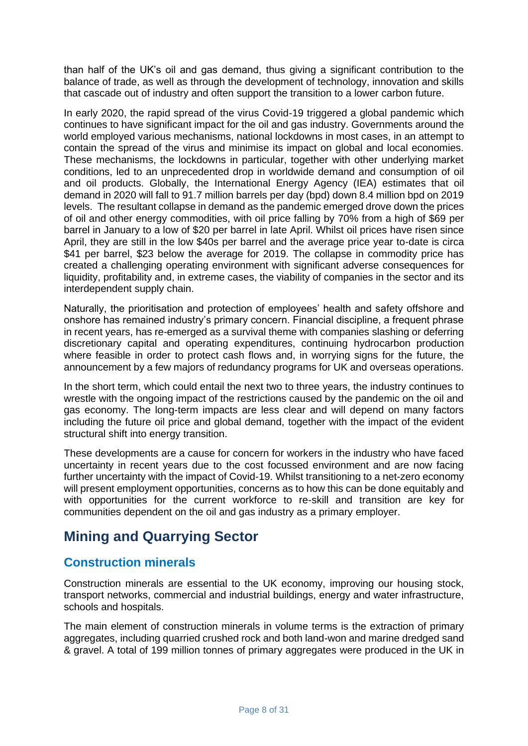than half of the UK's oil and gas demand, thus giving a significant contribution to the balance of trade, as well as through the development of technology, innovation and skills that cascade out of industry and often support the transition to a lower carbon future.

In early 2020, the rapid spread of the virus Covid-19 triggered a global pandemic which continues to have significant impact for the oil and gas industry. Governments around the world employed various mechanisms, national lockdowns in most cases, in an attempt to contain the spread of the virus and minimise its impact on global and local economies. These mechanisms, the lockdowns in particular, together with other underlying market conditions, led to an unprecedented drop in worldwide demand and consumption of oil and oil products. Globally, the International Energy Agency (IEA) estimates that oil demand in 2020 will fall to 91.7 million barrels per day (bpd) down 8.4 million bpd on 2019 levels. The resultant collapse in demand as the pandemic emerged drove down the prices of oil and other energy commodities, with oil price falling by 70% from a high of \$69 per barrel in January to a low of \$20 per barrel in late April. Whilst oil prices have risen since April, they are still in the low \$40s per barrel and the average price year to-date is circa \$41 per barrel, \$23 below the average for 2019. The collapse in commodity price has created a challenging operating environment with significant adverse consequences for liquidity, profitability and, in extreme cases, the viability of companies in the sector and its interdependent supply chain.

Naturally, the prioritisation and protection of employees' health and safety offshore and onshore has remained industry's primary concern. Financial discipline, a frequent phrase in recent years, has re-emerged as a survival theme with companies slashing or deferring discretionary capital and operating expenditures, continuing hydrocarbon production where feasible in order to protect cash flows and, in worrying signs for the future, the announcement by a few majors of redundancy programs for UK and overseas operations.

In the short term, which could entail the next two to three years, the industry continues to wrestle with the ongoing impact of the restrictions caused by the pandemic on the oil and gas economy. The long-term impacts are less clear and will depend on many factors including the future oil price and global demand, together with the impact of the evident structural shift into energy transition.

These developments are a cause for concern for workers in the industry who have faced uncertainty in recent years due to the cost focussed environment and are now facing further uncertainty with the impact of Covid-19. Whilst transitioning to a net-zero economy will present employment opportunities, concerns as to how this can be done equitably and with opportunities for the current workforce to re-skill and transition are key for communities dependent on the oil and gas industry as a primary employer.

# **Mining and Quarrying Sector**

## **Construction minerals**

Construction minerals are essential to the UK economy, improving our housing stock, transport networks, commercial and industrial buildings, energy and water infrastructure, schools and hospitals.

The main element of construction minerals in volume terms is the extraction of primary aggregates, including quarried crushed rock and both land-won and marine dredged sand & gravel. A total of 199 million tonnes of primary aggregates were produced in the UK in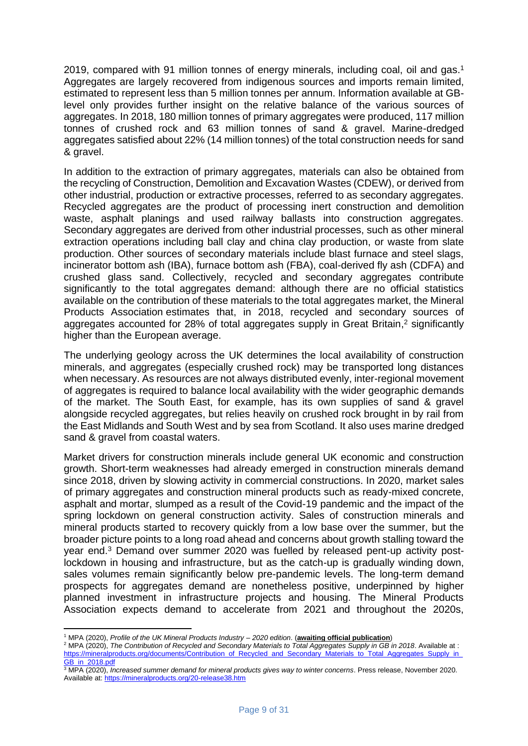2019, compared with 91 million tonnes of energy minerals, including coal, oil and gas. 1 Aggregates are largely recovered from indigenous sources and imports remain limited, estimated to represent less than 5 million tonnes per annum. Information available at GBlevel only provides further insight on the relative balance of the various sources of aggregates. In 2018, 180 million tonnes of primary aggregates were produced, 117 million tonnes of crushed rock and 63 million tonnes of sand & gravel. Marine-dredged aggregates satisfied about 22% (14 million tonnes) of the total construction needs for sand & gravel.

In addition to the extraction of primary aggregates, materials can also be obtained from the recycling of Construction, Demolition and Excavation Wastes (CDEW), or derived from other industrial, production or extractive processes, referred to as secondary aggregates. Recycled aggregates are the product of processing inert construction and demolition waste, asphalt planings and used railway ballasts into construction aggregates. Secondary aggregates are derived from other industrial processes, such as other mineral extraction operations including ball clay and china clay production, or waste from slate production. Other sources of secondary materials include blast furnace and steel slags, incinerator bottom ash (IBA), furnace bottom ash (FBA), coal-derived fly ash (CDFA) and crushed glass sand. Collectively, recycled and secondary aggregates contribute significantly to the total aggregates demand: although there are no official statistics available on the contribution of these materials to the total aggregates market, the Mineral Products Association estimates that, in 2018, recycled and secondary sources of aggregates accounted for 28% of total aggregates supply in Great Britain, <sup>2</sup> significantly higher than the European average.

The underlying geology across the UK determines the local availability of construction minerals, and aggregates (especially crushed rock) may be transported long distances when necessary. As resources are not always distributed evenly, inter-regional movement of aggregates is required to balance local availability with the wider geographic demands of the market. The South East, for example, has its own supplies of sand & gravel alongside recycled aggregates, but relies heavily on crushed rock brought in by rail from the East Midlands and South West and by sea from Scotland. It also uses marine dredged sand & gravel from coastal waters.

Market drivers for construction minerals include general UK economic and construction growth. Short-term weaknesses had already emerged in construction minerals demand since 2018, driven by slowing activity in commercial constructions. In 2020, market sales of primary aggregates and construction mineral products such as ready-mixed concrete, asphalt and mortar, slumped as a result of the Covid-19 pandemic and the impact of the spring lockdown on general construction activity. Sales of construction minerals and mineral products started to recovery quickly from a low base over the summer, but the broader picture points to a long road ahead and concerns about growth stalling toward the year end. <sup>3</sup> Demand over summer 2020 was fuelled by released pent-up activity postlockdown in housing and infrastructure, but as the catch-up is gradually winding down, sales volumes remain significantly below pre-pandemic levels. The long-term demand prospects for aggregates demand are nonetheless positive, underpinned by higher planned investment in infrastructure projects and housing. The Mineral Products Association expects demand to accelerate from 2021 and throughout the 2020s,

<sup>1</sup> MPA (2020), *Profile of the UK Mineral Products Industry – 2020 edition*. (**awaiting official publication**)

<sup>2</sup> MPA (2020), *The Contribution of Recycled and Secondary Materials to Total Aggregates Supply in GB in 2018*. Available at : https://mineralproducts.org/documents/Contribution\_of\_Recycled\_and\_Secondary\_Materials\_to\_Total\_Aggregates\_Supply\_in GB in 2018.pdf

<sup>3</sup> MPA (2020), *Increased summer demand for mineral products gives way to winter concerns*. Press release, November 2020. Available at:<https://mineralproducts.org/20-release38.htm>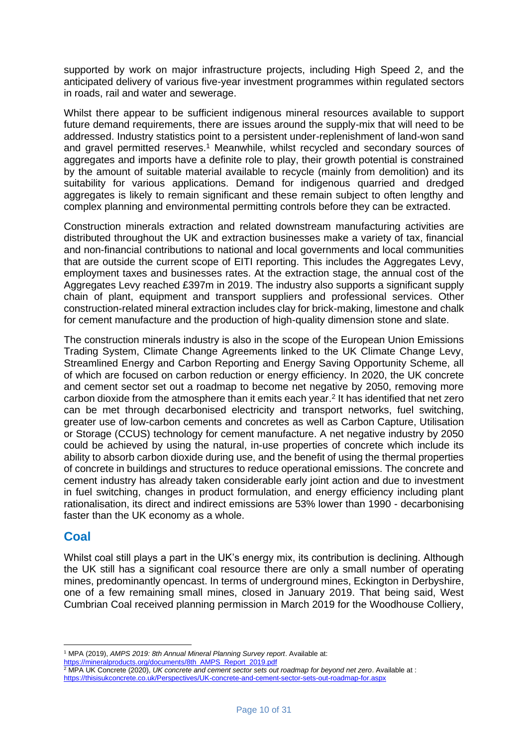supported by work on major infrastructure projects, including High Speed 2, and the anticipated delivery of various five-year investment programmes within regulated sectors in roads, rail and water and sewerage.

Whilst there appear to be sufficient indigenous mineral resources available to support future demand requirements, there are issues around the supply-mix that will need to be addressed. Industry statistics point to a persistent under-replenishment of land-won sand and gravel permitted reserves. <sup>1</sup> Meanwhile, whilst recycled and secondary sources of aggregates and imports have a definite role to play, their growth potential is constrained by the amount of suitable material available to recycle (mainly from demolition) and its suitability for various applications. Demand for indigenous quarried and dredged aggregates is likely to remain significant and these remain subject to often lengthy and complex planning and environmental permitting controls before they can be extracted.

Construction minerals extraction and related downstream manufacturing activities are distributed throughout the UK and extraction businesses make a variety of tax, financial and non-financial contributions to national and local governments and local communities that are outside the current scope of EITI reporting. This includes the Aggregates Levy, employment taxes and businesses rates. At the extraction stage, the annual cost of the Aggregates Levy reached £397m in 2019. The industry also supports a significant supply chain of plant, equipment and transport suppliers and professional services. Other construction-related mineral extraction includes clay for brick-making, limestone and chalk for cement manufacture and the production of high-quality dimension stone and slate.

The construction minerals industry is also in the scope of the European Union Emissions Trading System, Climate Change Agreements linked to the UK Climate Change Levy, Streamlined Energy and Carbon Reporting and Energy Saving Opportunity Scheme, all of which are focused on carbon reduction or energy efficiency. In 2020, the UK concrete and cement sector set out a roadmap to become net negative by 2050, removing more carbon dioxide from the atmosphere than it emits each year. 2 It has identified that net zero can be met through decarbonised electricity and transport networks, fuel switching, greater use of low-carbon cements and concretes as well as Carbon Capture, Utilisation or Storage (CCUS) technology for cement manufacture. A net negative industry by 2050 could be achieved by using the natural, in-use properties of concrete which include its ability to absorb carbon dioxide during use, and the benefit of using the thermal properties of concrete in buildings and structures to reduce operational emissions. The concrete and cement industry has already taken considerable early joint action and due to investment in fuel switching, changes in product formulation, and energy efficiency including plant rationalisation, its direct and indirect emissions are 53% lower than 1990 - decarbonising faster than the UK economy as a whole.

#### **Coal**

Whilst coal still plays a part in the UK's energy mix, its contribution is declining. Although the UK still has a significant coal resource there are only a small number of operating mines, predominantly opencast. In terms of underground mines, Eckington in Derbyshire, one of a few remaining small mines, closed in January 2019. That being said, West Cumbrian Coal received planning permission in March 2019 for the Woodhouse Colliery,

[https://mineralproducts.org/documents/8th\\_AMPS\\_Report\\_2019.pdf](https://mineralproducts.org/documents/8th_AMPS_Report_2019.pdf)

<sup>1</sup> MPA (2019), *AMPS 2019: 8th Annual Mineral Planning Survey report*. Available at:

<sup>&</sup>lt;sup>2</sup> MPA UK Concrete (2020), UK concrete and cement sector sets out roadmap for beyond net zero. Available at : <https://thisisukconcrete.co.uk/Perspectives/UK-concrete-and-cement-sector-sets-out-roadmap-for.aspx>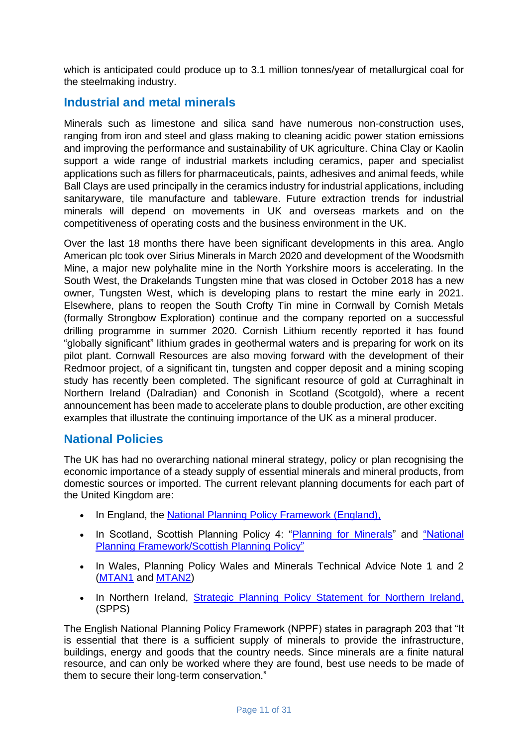which is anticipated could produce up to 3.1 million tonnes/year of metallurgical coal for the steelmaking industry.

## **Industrial and metal minerals**

Minerals such as limestone and silica sand have numerous non-construction uses, ranging from iron and steel and glass making to cleaning acidic power station emissions and improving the performance and sustainability of UK agriculture. China Clay or Kaolin support a wide range of industrial markets including ceramics, paper and specialist applications such as fillers for pharmaceuticals, paints, adhesives and animal feeds, while Ball Clays are used principally in the ceramics industry for industrial applications, including sanitaryware, tile manufacture and tableware. Future extraction trends for industrial minerals will depend on movements in UK and overseas markets and on the competitiveness of operating costs and the business environment in the UK.

Over the last 18 months there have been significant developments in this area. Anglo American plc took over Sirius Minerals in March 2020 and development of the Woodsmith Mine, a major new polyhalite mine in the North Yorkshire moors is accelerating. In the South West, the Drakelands Tungsten mine that was closed in October 2018 has a new owner, Tungsten West, which is developing plans to restart the mine early in 2021. Elsewhere, plans to reopen the South Crofty Tin mine in Cornwall by Cornish Metals (formally Strongbow Exploration) continue and the company reported on a successful drilling programme in summer 2020. Cornish Lithium recently reported it has found "globally significant" lithium grades in geothermal waters and is preparing for work on its pilot plant. Cornwall Resources are also moving forward with the development of their Redmoor project, of a significant tin, tungsten and copper deposit and a mining scoping study has recently been completed. The significant resource of gold at Curraghinalt in Northern Ireland (Dalradian) and Cononish in Scotland (Scotgold), where a recent announcement has been made to accelerate plans to double production, are other exciting examples that illustrate the continuing importance of the UK as a mineral producer.

#### **National Policies**

The UK has had no overarching national mineral strategy, policy or plan recognising the economic importance of a steady supply of essential minerals and mineral products, from domestic sources or imported. The current relevant planning documents for each part of the United Kingdom are:

- In England, the [National Planning Policy Framework \(England\),](https://assets.publishing.service.gov.uk/government/uploads/system/uploads/attachment_data/file/810197/NPPF_Feb_2019_revised.pdf)
- In Scotland, Scottish Planning Policy 4: ["Planning for Minerals"](https://www2.gov.scot/resource/doc/146319/0038293.pdf) and "National [Planning Framework/Scottish Planning Policy"](https://www.gov.scot/policies/planning-architecture/)
- In Wales, Planning Policy Wales and Minerals Technical Advice Note 1 and 2 [\(MTAN1](https://gov.wales/minerals-technical-advice-note-mtan-wales-1-aggregates) and [MTAN2\)](https://gov.wales/minerals-technical-advice-note-mtan-wales-2-coal)
- In Northern Ireland, [Strategic Planning Policy Statement for Northern Ireland,](https://www.infrastructure-ni.gov.uk/publications/strategic-planning-policy-statement) (SPPS)

The English National Planning Policy Framework (NPPF) states in paragraph 203 that "It is essential that there is a sufficient supply of minerals to provide the infrastructure, buildings, energy and goods that the country needs. Since minerals are a finite natural resource, and can only be worked where they are found, best use needs to be made of them to secure their long-term conservation."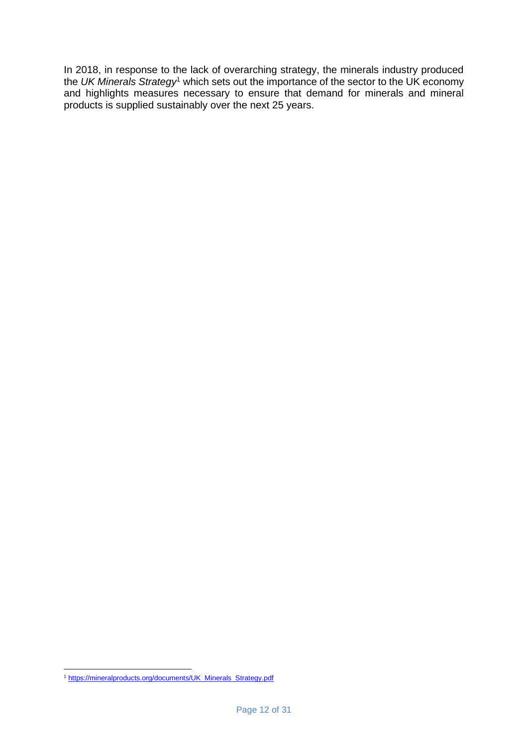In 2018, in response to the lack of overarching strategy, the minerals industry produced the *UK Minerals Strategy*<sup>1</sup> which sets out the importance of the sector to the UK economy and highlights measures necessary to ensure that demand for minerals and mineral products is supplied sustainably over the next 25 years.

<sup>1</sup> [https://mineralproducts.org/documents/UK\\_Minerals\\_Strategy.pdf](https://mineralproducts.org/documents/UK_Minerals_Strategy.pdf)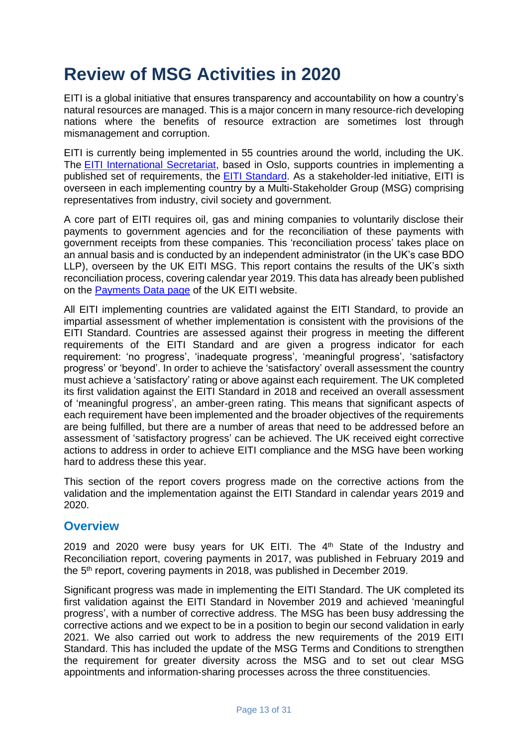# **Review of MSG Activities in 2020**

EITI is a global initiative that ensures transparency and accountability on how a country's natural resources are managed. This is a major concern in many resource-rich developing nations where the benefits of resource extraction are sometimes lost through mismanagement and corruption.

EITI is currently being implemented in 55 countries around the world, including the UK. The [EITI International Secretariat,](https://eiti.org/) based in Oslo, supports countries in implementing a published set of requirements, the [EITI Standard.](https://eiti.org/standard/overview) As a stakeholder-led initiative, EITI is overseen in each implementing country by a Multi-Stakeholder Group (MSG) comprising representatives from industry, civil society and government.

A core part of EITI requires oil, gas and mining companies to voluntarily disclose their payments to government agencies and for the reconciliation of these payments with government receipts from these companies. This 'reconciliation process' takes place on an annual basis and is conducted by an independent administrator (in the UK's case BDO LLP), overseen by the UK EITI MSG. This report contains the results of the UK's sixth reconciliation process, covering calendar year 2019. This data has already been published on the [Payments Data page](https://www.ukeiti.org/payments-data) of the UK EITI website.

All EITI implementing countries are validated against the EITI Standard, to provide an impartial assessment of whether implementation is consistent with the provisions of the EITI Standard. Countries are assessed against their progress in meeting the different requirements of the EITI Standard and are given a progress indicator for each requirement: 'no progress', 'inadequate progress', 'meaningful progress', 'satisfactory progress' or 'beyond'. In order to achieve the 'satisfactory' overall assessment the country must achieve a 'satisfactory' rating or above against each requirement. The UK completed its first validation against the EITI Standard in 2018 and received an overall assessment of 'meaningful progress', an amber-green rating. This means that significant aspects of each requirement have been implemented and the broader objectives of the requirements are being fulfilled, but there are a number of areas that need to be addressed before an assessment of 'satisfactory progress' can be achieved. The UK received eight corrective actions to address in order to achieve EITI compliance and the MSG have been working hard to address these this year.

This section of the report covers progress made on the corrective actions from the validation and the implementation against the EITI Standard in calendar years 2019 and 2020.

#### **Overview**

2019 and 2020 were busy years for UK EITI. The 4<sup>th</sup> State of the Industry and Reconciliation report, covering payments in 2017, was published in February 2019 and the 5 th report, covering payments in 2018, was published in December 2019.

Significant progress was made in implementing the EITI Standard. The UK completed its first validation against the EITI Standard in November 2019 and achieved 'meaningful progress', with a number of corrective address. The MSG has been busy addressing the corrective actions and we expect to be in a position to begin our second validation in early 2021. We also carried out work to address the new requirements of the 2019 EITI Standard. This has included the update of the MSG Terms and Conditions to strengthen the requirement for greater diversity across the MSG and to set out clear MSG appointments and information-sharing processes across the three constituencies.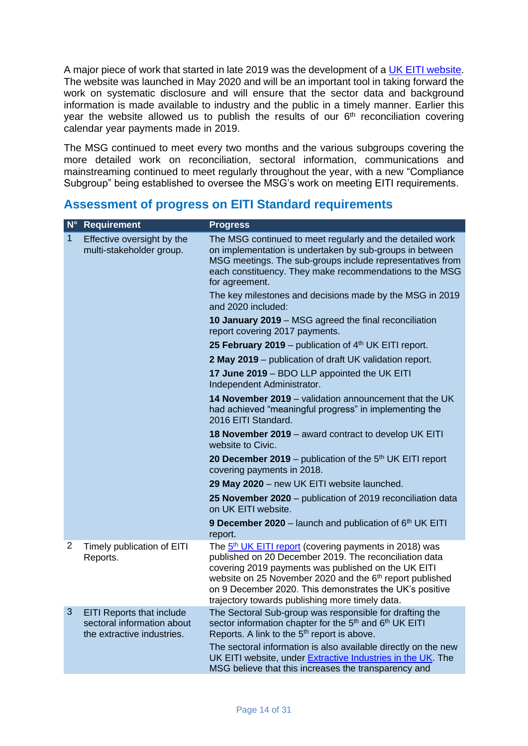A major piece of work that started in late 2019 was the development of a [UK EITI website.](http://www.ukeiti.org/) The website was launched in May 2020 and will be an important tool in taking forward the work on systematic disclosure and will ensure that the sector data and background information is made available to industry and the public in a timely manner. Earlier this year the website allowed us to publish the results of our 6<sup>th</sup> reconciliation covering calendar year payments made in 2019.

The MSG continued to meet every two months and the various subgroups covering the more detailed work on reconciliation, sectoral information, communications and mainstreaming continued to meet regularly throughout the year, with a new "Compliance Subgroup" being established to oversee the MSG's work on meeting EITI requirements.

## **Assessment of progress on EITI Standard requirements**

| $N^{\circ}$    | <b>Requirement</b>                                                                           | <b>Progress</b>                                                                                                                                                                                                                                                                                                                                                           |
|----------------|----------------------------------------------------------------------------------------------|---------------------------------------------------------------------------------------------------------------------------------------------------------------------------------------------------------------------------------------------------------------------------------------------------------------------------------------------------------------------------|
| 1              | Effective oversight by the<br>multi-stakeholder group.                                       | The MSG continued to meet regularly and the detailed work<br>on implementation is undertaken by sub-groups in between<br>MSG meetings. The sub-groups include representatives from<br>each constituency. They make recommendations to the MSG<br>for agreement.                                                                                                           |
|                |                                                                                              | The key milestones and decisions made by the MSG in 2019<br>and 2020 included:                                                                                                                                                                                                                                                                                            |
|                |                                                                                              | 10 January 2019 - MSG agreed the final reconciliation<br>report covering 2017 payments.                                                                                                                                                                                                                                                                                   |
|                |                                                                                              | 25 February 2019 - publication of 4th UK EITI report.                                                                                                                                                                                                                                                                                                                     |
|                |                                                                                              | 2 May 2019 – publication of draft UK validation report.                                                                                                                                                                                                                                                                                                                   |
|                |                                                                                              | 17 June 2019 - BDO LLP appointed the UK EITI<br>Independent Administrator.                                                                                                                                                                                                                                                                                                |
|                |                                                                                              | 14 November 2019 - validation announcement that the UK<br>had achieved "meaningful progress" in implementing the<br>2016 EITI Standard.                                                                                                                                                                                                                                   |
|                |                                                                                              | 18 November 2019 - award contract to develop UK EITI<br>website to Civic.                                                                                                                                                                                                                                                                                                 |
|                |                                                                                              | 20 December 2019 – publication of the $5th$ UK EITI report<br>covering payments in 2018.                                                                                                                                                                                                                                                                                  |
|                |                                                                                              | 29 May 2020 - new UK EITI website launched.                                                                                                                                                                                                                                                                                                                               |
|                |                                                                                              | 25 November 2020 – publication of 2019 reconciliation data<br>on UK EITI website.                                                                                                                                                                                                                                                                                         |
|                |                                                                                              | 9 December 2020 - launch and publication of 6 <sup>th</sup> UK EITI<br>report.                                                                                                                                                                                                                                                                                            |
| $\overline{2}$ | Timely publication of EITI<br>Reports.                                                       | The 5 <sup>th</sup> UK EITI report (covering payments in 2018) was<br>published on 20 December 2019. The reconciliation data<br>covering 2019 payments was published on the UK EITI<br>website on 25 November 2020 and the 6 <sup>th</sup> report published<br>on 9 December 2020. This demonstrates the UK's positive<br>trajectory towards publishing more timely data. |
| 3              | <b>EITI Reports that include</b><br>sectoral information about<br>the extractive industries. | The Sectoral Sub-group was responsible for drafting the<br>sector information chapter for the 5 <sup>th</sup> and 6 <sup>th</sup> UK EITI<br>Reports. A link to the 5 <sup>th</sup> report is above.                                                                                                                                                                      |
|                |                                                                                              | The sectoral information is also available directly on the new<br>UK EITI website, under Extractive Industries in the UK. The<br>MSG believe that this increases the transparency and                                                                                                                                                                                     |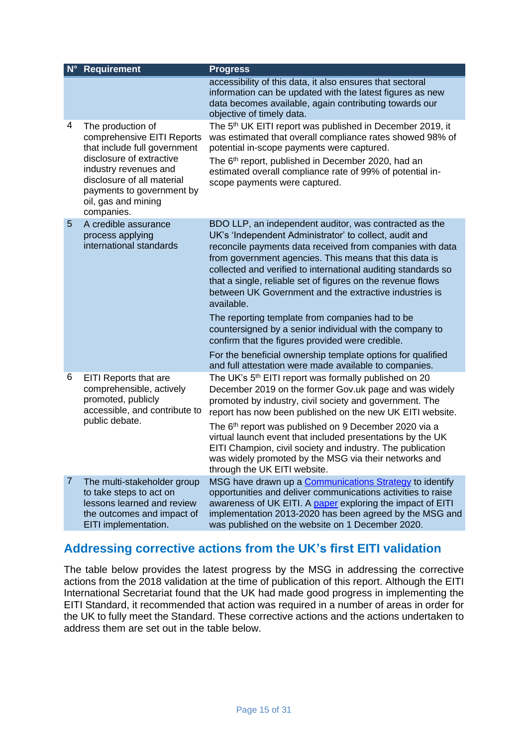| $N^{\circ}$    | <b>Requirement</b>                                                                                                                                                                                                                   | <b>Progress</b>                                                                                                                                                                                                                                                                                                                                                                                                                                                                                    |
|----------------|--------------------------------------------------------------------------------------------------------------------------------------------------------------------------------------------------------------------------------------|----------------------------------------------------------------------------------------------------------------------------------------------------------------------------------------------------------------------------------------------------------------------------------------------------------------------------------------------------------------------------------------------------------------------------------------------------------------------------------------------------|
|                |                                                                                                                                                                                                                                      | accessibility of this data, it also ensures that sectoral<br>information can be updated with the latest figures as new<br>data becomes available, again contributing towards our<br>objective of timely data.                                                                                                                                                                                                                                                                                      |
| 4              | The production of<br>comprehensive EITI Reports<br>that include full government<br>disclosure of extractive<br>industry revenues and<br>disclosure of all material<br>payments to government by<br>oil, gas and mining<br>companies. | The 5 <sup>th</sup> UK EITI report was published in December 2019, it<br>was estimated that overall compliance rates showed 98% of<br>potential in-scope payments were captured.<br>The 6 <sup>th</sup> report, published in December 2020, had an<br>estimated overall compliance rate of 99% of potential in-<br>scope payments were captured.                                                                                                                                                   |
| 5              | A credible assurance<br>process applying<br>international standards                                                                                                                                                                  | BDO LLP, an independent auditor, was contracted as the<br>UK's 'Independent Administrator' to collect, audit and<br>reconcile payments data received from companies with data<br>from government agencies. This means that this data is<br>collected and verified to international auditing standards so<br>that a single, reliable set of figures on the revenue flows<br>between UK Government and the extractive industries is<br>available.<br>The reporting template from companies had to be |
|                |                                                                                                                                                                                                                                      | countersigned by a senior individual with the company to<br>confirm that the figures provided were credible.<br>For the beneficial ownership template options for qualified                                                                                                                                                                                                                                                                                                                        |
| 6              | EITI Reports that are<br>comprehensible, actively<br>promoted, publicly<br>accessible, and contribute to<br>public debate.                                                                                                           | and full attestation were made available to companies.<br>The UK's 5 <sup>th</sup> EITI report was formally published on 20<br>December 2019 on the former Gov.uk page and was widely<br>promoted by industry, civil society and government. The<br>report has now been published on the new UK EITI website.                                                                                                                                                                                      |
|                |                                                                                                                                                                                                                                      | The 6 <sup>th</sup> report was published on 9 December 2020 via a<br>virtual launch event that included presentations by the UK<br>EITI Champion, civil society and industry. The publication<br>was widely promoted by the MSG via their networks and<br>through the UK EITI website.                                                                                                                                                                                                             |
| $\overline{7}$ | The multi-stakeholder group<br>to take steps to act on<br>lessons learned and review<br>the outcomes and impact of<br>EITI implementation.                                                                                           | MSG have drawn up a Communications Strategy to identify<br>opportunities and deliver communications activities to raise<br>awareness of UK EITI. A paper exploring the impact of EITI<br>implementation 2013-2020 has been agreed by the MSG and<br>was published on the website on 1 December 2020.                                                                                                                                                                                               |

## **Addressing corrective actions from the UK's first EITI validation**

The table below provides the latest progress by the MSG in addressing the corrective actions from the 2018 validation at the time of publication of this report. Although the EITI International Secretariat found that the UK had made good progress in implementing the EITI Standard, it recommended that action was required in a number of areas in order for the UK to fully meet the Standard. These corrective actions and the actions undertaken to address them are set out in the table below.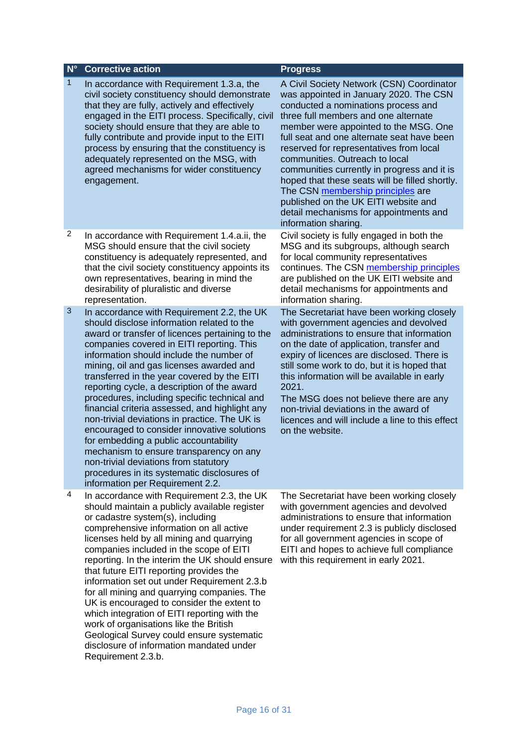#### **N° Corrective action Progress**

- In accordance with Requirement 1.3.a, the civil society constituency should demonstrate that they are fully, actively and effectively engaged in the EITI process. Specifically, civil society should ensure that they are able to fully contribute and provide input to the EITI process by ensuring that the constituency is adequately represented on the MSG, with agreed mechanisms for wider constituency engagement.
- 2 In accordance with Requirement 1.4.a.ii, the MSG should ensure that the civil society constituency is adequately represented, and that the civil society constituency appoints its own representatives, bearing in mind the desirability of pluralistic and diverse representation.
- 3 In accordance with Requirement 2.2, the UK should disclose information related to the award or transfer of licences pertaining to the companies covered in EITI reporting. This information should include the number of mining, oil and gas licenses awarded and transferred in the year covered by the EITI reporting cycle, a description of the award procedures, including specific technical and financial criteria assessed, and highlight any non-trivial deviations in practice. The UK is encouraged to consider innovative solutions for embedding a public accountability mechanism to ensure transparency on any non-trivial deviations from statutory procedures in its systematic disclosures of information per Requirement 2.2.
- 4 In accordance with Requirement 2.3, the UK should maintain a publicly available register or cadastre system(s), including comprehensive information on all active licenses held by all mining and quarrying companies included in the scope of EITI reporting. In the interim the UK should ensure that future EITI reporting provides the information set out under Requirement 2.3.b for all mining and quarrying companies. The UK is encouraged to consider the extent to which integration of EITI reporting with the work of organisations like the British Geological Survey could ensure systematic disclosure of information mandated under Requirement 2.3.b.

A Civil Society Network (CSN) Coordinator was appointed in January 2020. The CSN conducted a nominations process and three full members and one alternate member were appointed to the MSG. One full seat and one alternate seat have been reserved for representatives from local communities. Outreach to local communities currently in progress and it is hoped that these seats will be filled shortly. The CSN [membership principles](https://www.ukeiti.org/sites/default/files/reports/1.4%20UK-EITI-CSN-Membership-Principles-Feb2019.pdf) are published on the UK EITI website and detail mechanisms for appointments and information sharing.

Civil society is fully engaged in both the MSG and its subgroups, although search for local community representatives continues. The CSN [membership principles](https://www.ukeiti.org/sites/default/files/reports/1.4%20UK-EITI-CSN-Membership-Principles-Feb2019.pdf) are published on the UK EITI website and detail mechanisms for appointments and information sharing.

The Secretariat have been working closely with government agencies and devolved administrations to ensure that information on the date of application, transfer and expiry of licences are disclosed. There is still some work to do, but it is hoped that this information will be available in early 2021.

The MSG does not believe there are any non-trivial deviations in the award of licences and will include a line to this effect on the website.

The Secretariat have been working closely with government agencies and devolved administrations to ensure that information under requirement 2.3 is publicly disclosed for all government agencies in scope of EITI and hopes to achieve full compliance with this requirement in early 2021.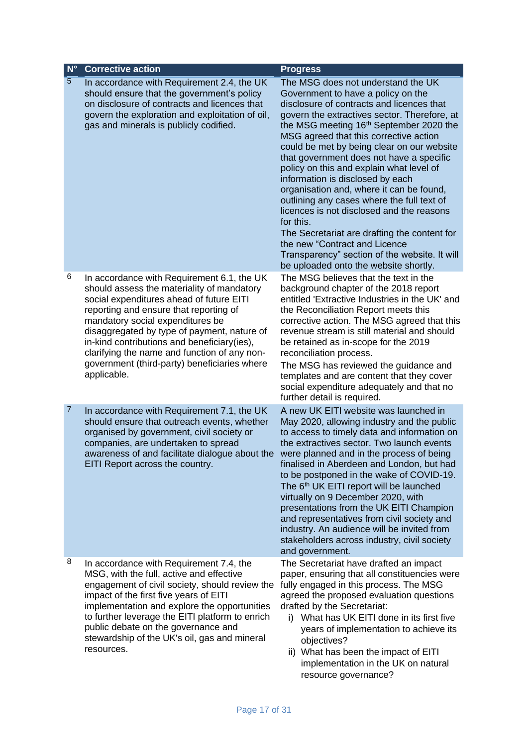| $N^{\circ}$    | <b>Corrective action</b>                                                                                                                                                                                                                                                                                                                                                                                                         | <b>Progress</b>                                                                                                                                                                                                                                                                                                                                                                                                                                                                                                                                                                                                                                                                                                                                                     |
|----------------|----------------------------------------------------------------------------------------------------------------------------------------------------------------------------------------------------------------------------------------------------------------------------------------------------------------------------------------------------------------------------------------------------------------------------------|---------------------------------------------------------------------------------------------------------------------------------------------------------------------------------------------------------------------------------------------------------------------------------------------------------------------------------------------------------------------------------------------------------------------------------------------------------------------------------------------------------------------------------------------------------------------------------------------------------------------------------------------------------------------------------------------------------------------------------------------------------------------|
| $\overline{5}$ | In accordance with Requirement 2.4, the UK<br>should ensure that the government's policy<br>on disclosure of contracts and licences that<br>govern the exploration and exploitation of oil,<br>gas and minerals is publicly codified.                                                                                                                                                                                            | The MSG does not understand the UK<br>Government to have a policy on the<br>disclosure of contracts and licences that<br>govern the extractives sector. Therefore, at<br>the MSG meeting 16th September 2020 the<br>MSG agreed that this corrective action<br>could be met by being clear on our website<br>that government does not have a specific<br>policy on this and explain what level of<br>information is disclosed by each<br>organisation and, where it can be found,<br>outlining any cases where the full text of<br>licences is not disclosed and the reasons<br>for this.<br>The Secretariat are drafting the content for<br>the new "Contract and Licence<br>Transparency" section of the website. It will<br>be uploaded onto the website shortly. |
| 6              | In accordance with Requirement 6.1, the UK<br>should assess the materiality of mandatory<br>social expenditures ahead of future EITI<br>reporting and ensure that reporting of<br>mandatory social expenditures be<br>disaggregated by type of payment, nature of<br>in-kind contributions and beneficiary (ies),<br>clarifying the name and function of any non-<br>government (third-party) beneficiaries where<br>applicable. | The MSG believes that the text in the<br>background chapter of the 2018 report<br>entitled 'Extractive Industries in the UK' and<br>the Reconciliation Report meets this<br>corrective action. The MSG agreed that this<br>revenue stream is still material and should<br>be retained as in-scope for the 2019<br>reconciliation process.<br>The MSG has reviewed the guidance and<br>templates and are content that they cover<br>social expenditure adequately and that no<br>further detail is required.                                                                                                                                                                                                                                                         |
| $\overline{7}$ | In accordance with Requirement 7.1, the UK<br>should ensure that outreach events, whether<br>organised by government, civil society or<br>companies, are undertaken to spread<br>awareness of and facilitate dialogue about the<br>EITI Report across the country.                                                                                                                                                               | A new UK EITI website was launched in<br>May 2020, allowing industry and the public<br>to access to timely data and information on<br>the extractives sector. Two launch events<br>were planned and in the process of being<br>finalised in Aberdeen and London, but had<br>to be postponed in the wake of COVID-19.<br>The 6 <sup>th</sup> UK EITI report will be launched<br>virtually on 9 December 2020, with<br>presentations from the UK EITI Champion<br>and representatives from civil society and<br>industry. An audience will be invited from<br>stakeholders across industry, civil society<br>and government.                                                                                                                                          |
| 8              | In accordance with Requirement 7.4, the<br>MSG, with the full, active and effective<br>engagement of civil society, should review the<br>impact of the first five years of EITI<br>implementation and explore the opportunities<br>to further leverage the EITI platform to enrich<br>public debate on the governance and<br>stewardship of the UK's oil, gas and mineral<br>resources.                                          | The Secretariat have drafted an impact<br>paper, ensuring that all constituencies were<br>fully engaged in this process. The MSG<br>agreed the proposed evaluation questions<br>drafted by the Secretariat:<br>i) What has UK EITI done in its first five<br>years of implementation to achieve its<br>objectives?<br>ii) What has been the impact of EITI<br>implementation in the UK on natural<br>resource governance?                                                                                                                                                                                                                                                                                                                                           |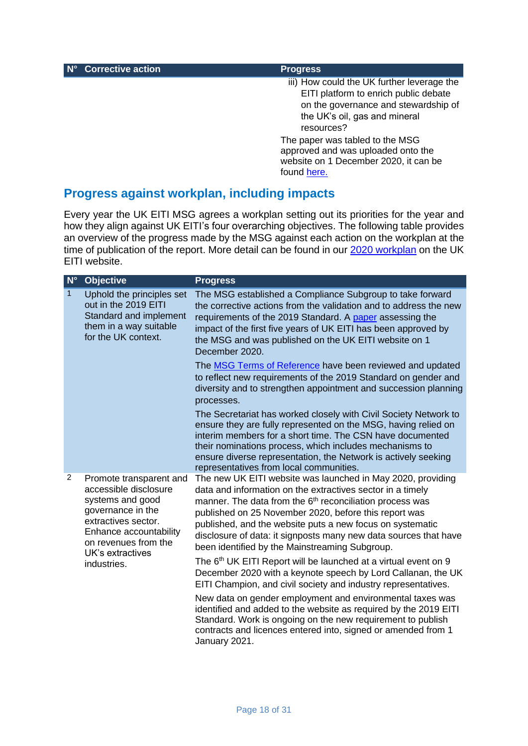**N° Corrective action Progress** 

iii) How could the UK further leverage the EITI platform to enrich public debate on the governance and stewardship of the UK's oil, gas and mineral resources?

The paper was tabled to the MSG approved and was uploaded onto the website on 1 December 2020, it can be found [here.](https://www.ukeiti.org/publication/what-has-been-impact-eiti-implementation-uk-2013-2020)

## **Progress against workplan, including impacts**

Every year the UK EITI MSG agrees a workplan setting out its priorities for the year and how they align against UK EITI's four overarching objectives. The following table provides an overview of the progress made by the MSG against each action on the workplan at the time of publication of the report. More detail can be found in our [2020 workplan](https://www.ukeiti.org/publication/uk-eiti-workplan-2020) on the UK EITI website.

| $N^{\circ}$  | <b>Objective</b>                                                                                                                                                                                      | <b>Progress</b>                                                                                                                                                                                                                                                                                                                                                                                                                                                                                                                                                                                                                                                                                                                                                                                 |
|--------------|-------------------------------------------------------------------------------------------------------------------------------------------------------------------------------------------------------|-------------------------------------------------------------------------------------------------------------------------------------------------------------------------------------------------------------------------------------------------------------------------------------------------------------------------------------------------------------------------------------------------------------------------------------------------------------------------------------------------------------------------------------------------------------------------------------------------------------------------------------------------------------------------------------------------------------------------------------------------------------------------------------------------|
| $\mathbf{1}$ | Uphold the principles set<br>out in the 2019 EITI<br>Standard and implement<br>them in a way suitable<br>for the UK context.                                                                          | The MSG established a Compliance Subgroup to take forward<br>the corrective actions from the validation and to address the new<br>requirements of the 2019 Standard. A paper assessing the<br>impact of the first five years of UK EITI has been approved by<br>the MSG and was published on the UK EITI website on 1<br>December 2020.                                                                                                                                                                                                                                                                                                                                                                                                                                                         |
|              |                                                                                                                                                                                                       | The <b>MSG Terms of Reference</b> have been reviewed and updated<br>to reflect new requirements of the 2019 Standard on gender and<br>diversity and to strengthen appointment and succession planning<br>processes.                                                                                                                                                                                                                                                                                                                                                                                                                                                                                                                                                                             |
|              |                                                                                                                                                                                                       | The Secretariat has worked closely with Civil Society Network to<br>ensure they are fully represented on the MSG, having relied on<br>interim members for a short time. The CSN have documented<br>their nominations process, which includes mechanisms to<br>ensure diverse representation, the Network is actively seeking<br>representatives from local communities.                                                                                                                                                                                                                                                                                                                                                                                                                         |
| 2            | Promote transparent and<br>accessible disclosure<br>systems and good<br>governance in the<br>extractives sector.<br>Enhance accountability<br>on revenues from the<br>UK's extractives<br>industries. | The new UK EITI website was launched in May 2020, providing<br>data and information on the extractives sector in a timely<br>manner. The data from the 6 <sup>th</sup> reconciliation process was<br>published on 25 November 2020, before this report was<br>published, and the website puts a new focus on systematic<br>disclosure of data: it signposts many new data sources that have<br>been identified by the Mainstreaming Subgroup.<br>The 6 <sup>th</sup> UK EITI Report will be launched at a virtual event on 9<br>December 2020 with a keynote speech by Lord Callanan, the UK<br>EITI Champion, and civil society and industry representatives.<br>New data on gender employment and environmental taxes was<br>identified and added to the website as required by the 2019 EITI |
|              |                                                                                                                                                                                                       | Standard. Work is ongoing on the new requirement to publish<br>contracts and licences entered into, signed or amended from 1<br>January 2021.                                                                                                                                                                                                                                                                                                                                                                                                                                                                                                                                                                                                                                                   |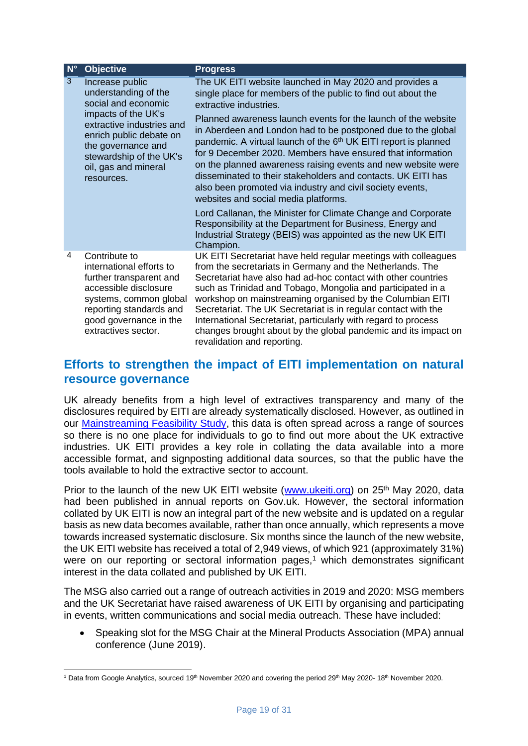| $N^{\circ}$ | <b>Objective</b>                                                                                                                                                                                                                     | <b>Progress</b>                                                                                                                                                                                                                                                                                                                                                                                                                                                                                                                                                                                                                                                                                                                                                                                                                                                               |
|-------------|--------------------------------------------------------------------------------------------------------------------------------------------------------------------------------------------------------------------------------------|-------------------------------------------------------------------------------------------------------------------------------------------------------------------------------------------------------------------------------------------------------------------------------------------------------------------------------------------------------------------------------------------------------------------------------------------------------------------------------------------------------------------------------------------------------------------------------------------------------------------------------------------------------------------------------------------------------------------------------------------------------------------------------------------------------------------------------------------------------------------------------|
| 3           | Increase public<br>understanding of the<br>social and economic<br>impacts of the UK's<br>extractive industries and<br>enrich public debate on<br>the governance and<br>stewardship of the UK's<br>oil, gas and mineral<br>resources. | The UK EITI website launched in May 2020 and provides a<br>single place for members of the public to find out about the<br>extractive industries.<br>Planned awareness launch events for the launch of the website<br>in Aberdeen and London had to be postponed due to the global<br>pandemic. A virtual launch of the 6 <sup>th</sup> UK EITI report is planned<br>for 9 December 2020. Members have ensured that information<br>on the planned awareness raising events and new website were<br>disseminated to their stakeholders and contacts. UK EITI has<br>also been promoted via industry and civil society events,<br>websites and social media platforms.<br>Lord Callanan, the Minister for Climate Change and Corporate<br>Responsibility at the Department for Business, Energy and<br>Industrial Strategy (BEIS) was appointed as the new UK EITI<br>Champion. |
| 4           | Contribute to<br>international efforts to<br>further transparent and<br>accessible disclosure<br>systems, common global<br>reporting standards and<br>good governance in the<br>extractives sector.                                  | UK EITI Secretariat have held regular meetings with colleagues<br>from the secretariats in Germany and the Netherlands. The<br>Secretariat have also had ad-hoc contact with other countries<br>such as Trinidad and Tobago, Mongolia and participated in a<br>workshop on mainstreaming organised by the Columbian EITI<br>Secretariat. The UK Secretariat is in regular contact with the<br>International Secretariat, particularly with regard to process<br>changes brought about by the global pandemic and its impact on<br>revalidation and reporting.                                                                                                                                                                                                                                                                                                                 |

#### **Efforts to strengthen the impact of EITI implementation on natural resource governance**

UK already benefits from a high level of extractives transparency and many of the disclosures required by EITI are already systematically disclosed. However, as outlined in our **Mainstreaming Feasibility Study**, this data is often spread across a range of sources so there is no one place for individuals to go to find out more about the UK extractive industries. UK EITI provides a key role in collating the data available into a more accessible format, and signposting additional data sources, so that the public have the tools available to hold the extractive sector to account.

Prior to the launch of the new UK EITI website [\(www.ukeiti.org\)](http://www.ukeiti.org/) on 25<sup>th</sup> May 2020, data had been published in annual reports on Gov.uk. However, the sectoral information collated by UK EITI is now an integral part of the new website and is updated on a regular basis as new data becomes available, rather than once annually, which represents a move towards increased systematic disclosure. Six months since the launch of the new website, the UK EITI website has received a total of 2,949 views, of which 921 (approximately 31%) were on our reporting or sectoral information pages, <sup>1</sup> which demonstrates significant interest in the data collated and published by UK EITI.

The MSG also carried out a range of outreach activities in 2019 and 2020: MSG members and the UK Secretariat have raised awareness of UK EITI by organising and participating in events, written communications and social media outreach. These have included:

• Speaking slot for the MSG Chair at the Mineral Products Association (MPA) annual conference (June 2019).

<sup>&</sup>lt;sup>1</sup> Data from Google Analytics, sourced 19<sup>th</sup> November 2020 and covering the period 29<sup>th</sup> May 2020-18<sup>th</sup> November 2020.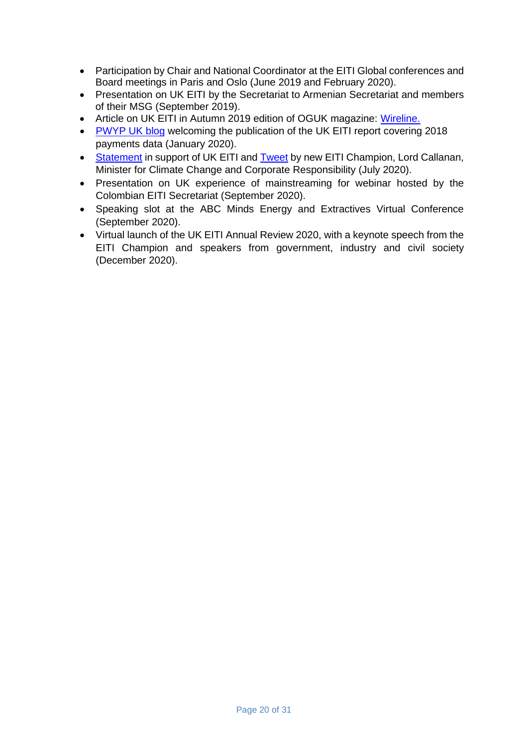- Participation by Chair and National Coordinator at the EITI Global conferences and Board meetings in Paris and Oslo (June 2019 and February 2020).
- Presentation on UK EITI by the Secretariat to Armenian Secretariat and members of their MSG (September 2019).
- Article on UK EITI in Autumn 2019 edition of OGUK magazine: [Wireline.](https://oilandgasuk.cld.bz/Wireline-Issue-46-Autumn-2019/32/)
- [PWYP UK blog](https://www.pwyp.org/pwyp-news/pwyp-uk-welcomes-uk-eiti-report-uk-fiscal-regime-too-generous/) welcoming the publication of the UK EITI report covering 2018 payments data (January 2020).
- [Statement](https://www.ukeiti.org/news-item/lord-callanan-appointed-new-uk-eiti-champion) in support of UK EITI and [Tweet](https://twitter.com/MartinCallanan/status/1287762701897302016) by new EITI Champion, Lord Callanan, Minister for Climate Change and Corporate Responsibility (July 2020).
- Presentation on UK experience of mainstreaming for webinar hosted by the Colombian EITI Secretariat (September 2020).
- Speaking slot at the ABC Minds Energy and Extractives Virtual Conference (September 2020).
- Virtual launch of the UK EITI Annual Review 2020, with a keynote speech from the EITI Champion and speakers from government, industry and civil society (December 2020).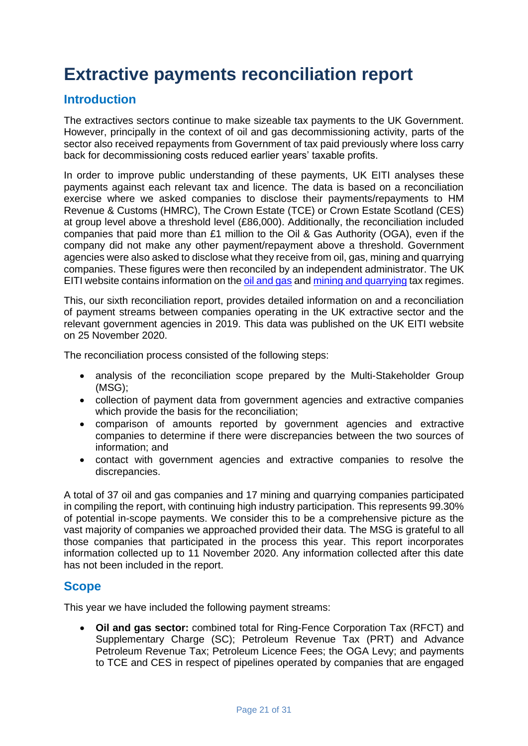# **Extractive payments reconciliation report**

## **Introduction**

The extractives sectors continue to make sizeable tax payments to the UK Government. However, principally in the context of oil and gas decommissioning activity, parts of the sector also received repayments from Government of tax paid previously where loss carry back for decommissioning costs reduced earlier years' taxable profits.

In order to improve public understanding of these payments, UK EITI analyses these payments against each relevant tax and licence. The data is based on a reconciliation exercise where we asked companies to disclose their payments/repayments to HM Revenue & Customs (HMRC), The Crown Estate (TCE) or Crown Estate Scotland (CES) at group level above a threshold level (£86,000). Additionally, the reconciliation included companies that paid more than £1 million to the Oil & Gas Authority (OGA), even if the company did not make any other payment/repayment above a threshold. Government agencies were also asked to disclose what they receive from oil, gas, mining and quarrying companies. These figures were then reconciled by an independent administrator. The UK EITI website contains information on the [oil and gas](https://www.ukeiti.org/oil-gas) and [mining and quarrying](https://www.ukeiti.org/mining-quarrying) tax regimes.

This, our sixth reconciliation report, provides detailed information on and a reconciliation of payment streams between companies operating in the UK extractive sector and the relevant government agencies in 2019. This data was published on the UK EITI website on 25 November 2020.

The reconciliation process consisted of the following steps:

- analysis of the reconciliation scope prepared by the Multi-Stakeholder Group (MSG);
- collection of payment data from government agencies and extractive companies which provide the basis for the reconciliation;
- comparison of amounts reported by government agencies and extractive companies to determine if there were discrepancies between the two sources of information; and
- contact with government agencies and extractive companies to resolve the discrepancies.

A total of 37 oil and gas companies and 17 mining and quarrying companies participated in compiling the report, with continuing high industry participation. This represents 99.30% of potential in-scope payments. We consider this to be a comprehensive picture as the vast majority of companies we approached provided their data. The MSG is grateful to all those companies that participated in the process this year. This report incorporates information collected up to 11 November 2020. Any information collected after this date has not been included in the report.

#### **Scope**

This year we have included the following payment streams:

• **Oil and gas sector:** combined total for Ring-Fence Corporation Tax (RFCT) and Supplementary Charge (SC); Petroleum Revenue Tax (PRT) and Advance Petroleum Revenue Tax; Petroleum Licence Fees; the OGA Levy; and payments to TCE and CES in respect of pipelines operated by companies that are engaged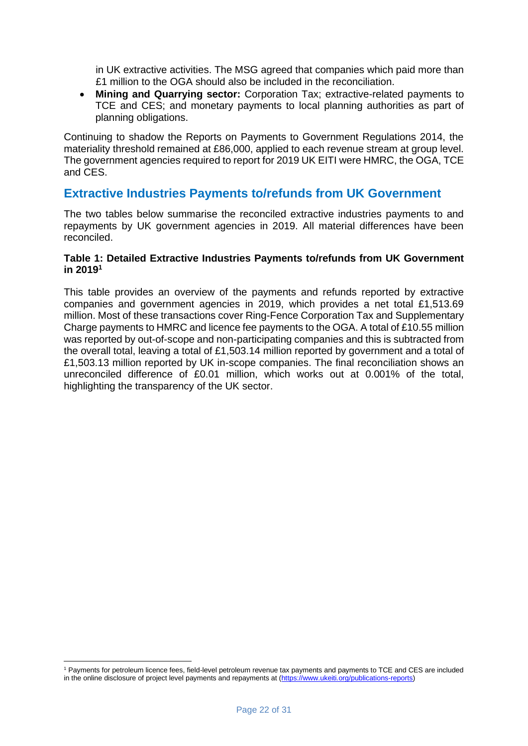in UK extractive activities. The MSG agreed that companies which paid more than £1 million to the OGA should also be included in the reconciliation.

• **Mining and Quarrying sector:** Corporation Tax; extractive-related payments to TCE and CES; and monetary payments to local planning authorities as part of planning obligations.

Continuing to shadow the Reports on Payments to Government Regulations 2014, the materiality threshold remained at £86,000, applied to each revenue stream at group level. The government agencies required to report for 2019 UK EITI were HMRC, the OGA, TCE and CES.

#### **Extractive Industries Payments to/refunds from UK Government**

The two tables below summarise the reconciled extractive industries payments to and repayments by UK government agencies in 2019. All material differences have been reconciled.

#### **Table 1: Detailed Extractive Industries Payments to/refunds from UK Government in 2019<sup>1</sup>**

This table provides an overview of the payments and refunds reported by extractive companies and government agencies in 2019, which provides a net total £1,513.69 million. Most of these transactions cover Ring-Fence Corporation Tax and Supplementary Charge payments to HMRC and licence fee payments to the OGA. A total of £10.55 million was reported by out-of-scope and non-participating companies and this is subtracted from the overall total, leaving a total of £1,503.14 million reported by government and a total of £1,503.13 million reported by UK in-scope companies. The final reconciliation shows an unreconciled difference of £0.01 million, which works out at 0.001% of the total, highlighting the transparency of the UK sector.

<sup>1</sup> Payments for petroleum licence fees, field-level petroleum revenue tax payments and payments to TCE and CES are included in the online disclosure of project level payments and repayments at [\(https://www.ukeiti.org/publications-reports\)](https://www.ukeiti.org/publications-reports)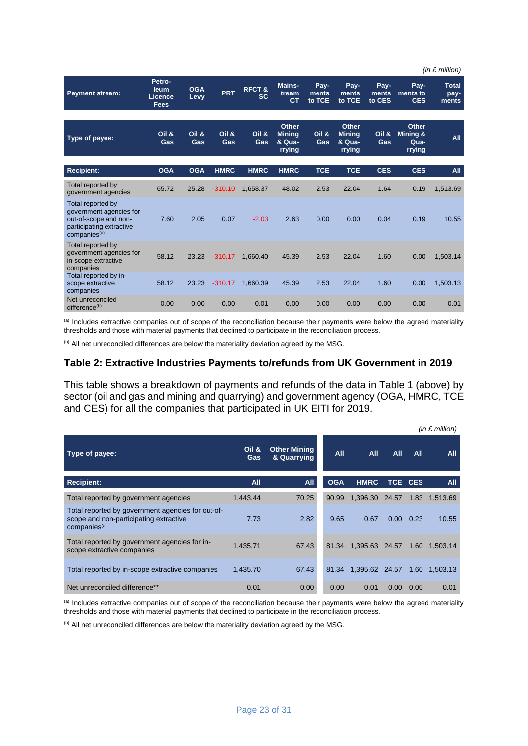|                                                                                                                               |                                                 |                    |              |                               |                                            |                         |                                                   |                         |                                            | (in $E$ million)              |
|-------------------------------------------------------------------------------------------------------------------------------|-------------------------------------------------|--------------------|--------------|-------------------------------|--------------------------------------------|-------------------------|---------------------------------------------------|-------------------------|--------------------------------------------|-------------------------------|
| Payment stream:                                                                                                               | Petro-<br>leum<br><b>Licence</b><br><b>Fees</b> | <b>OGA</b><br>Levy | <b>PRT</b>   | <b>RFCT&amp;</b><br><b>SC</b> | <b>Mains-</b><br>tream<br>C <sub>T</sub>   | Pay-<br>ments<br>to TCE | Pay-<br>ments<br>to TCE                           | Pay-<br>ments<br>to CES | Pay-<br>ments to<br><b>CES</b>             | <b>Total</b><br>pay-<br>ments |
| Type of payee:                                                                                                                | Oil &<br>Gas                                    | Oil &<br>Gas       | Oil &<br>Gas | Oil &<br>Gas                  | Other<br><b>Mining</b><br>& Qua-<br>rrying | Oil &<br>Gas            | <b>Other</b><br><b>Minina</b><br>& Qua-<br>rrying | Oil &<br>Gas            | <b>Other</b><br>Minina &<br>Qua-<br>rrying | All                           |
| <b>Recipient:</b>                                                                                                             | <b>OGA</b>                                      | <b>OGA</b>         | <b>HMRC</b>  | <b>HMRC</b>                   | <b>HMRC</b>                                | <b>TCE</b>              | <b>TCE</b>                                        | <b>CES</b>              | <b>CES</b>                                 | All                           |
| Total reported by<br>government agencies                                                                                      | 65.72                                           | 25.28              | $-310.10$    | 1,658.37                      | 48.02                                      | 2.53                    | 22.04                                             | 1.64                    | 0.19                                       | 1,513.69                      |
| Total reported by<br>government agencies for<br>out-of-scope and non-<br>participating extractive<br>companies <sup>(a)</sup> | 7.60                                            | 2.05               | 0.07         | $-2.03$                       | 2.63                                       | 0.00                    | 0.00                                              | 0.04                    | 0.19                                       | 10.55                         |
| Total reported by<br>government agencies for<br>in-scope extractive<br>companies                                              | 58.12                                           | 23.23              | $-310.17$    | 1,660.40                      | 45.39                                      | 2.53                    | 22.04                                             | 1.60                    | 0.00                                       | 1,503.14                      |
| Total reported by in-<br>scope extractive<br>companies                                                                        | 58.12                                           | 23.23              | $-310.17$    | 1,660.39                      | 45.39                                      | 2.53                    | 22.04                                             | 1.60                    | 0.00                                       | 1,503.13                      |
| Net unreconciled<br>difference <sup>(b)</sup>                                                                                 | 0.00                                            | 0.00               | 0.00         | 0.01                          | 0.00                                       | 0.00                    | 0.00                                              | 0.00                    | 0.00                                       | 0.01                          |

(a) Includes extractive companies out of scope of the reconciliation because their payments were below the agreed materiality thresholds and those with material payments that declined to participate in the reconciliation process.

(b) All net unreconciled differences are below the materiality deviation agreed by the MSG.

#### **Table 2: Extractive Industries Payments to/refunds from UK Government in 2019**

This table shows a breakdown of payments and refunds of the data in Table 1 (above) by sector (oil and gas and mining and quarrying) and government agency (OGA, HMRC, TCE and CES) for all the companies that participated in UK EITI for 2019.

|                                                                                                                         |              |                                    |            |                |                   |         | $(in \pounds million)$ |
|-------------------------------------------------------------------------------------------------------------------------|--------------|------------------------------------|------------|----------------|-------------------|---------|------------------------|
| Type of payee:                                                                                                          | Oil &<br>Gas | <b>Other Mining</b><br>& Quarrying | <b>All</b> | All            | All               | All     | All                    |
| <b>Recipient:</b>                                                                                                       | All          | <b>All</b>                         | <b>OGA</b> | <b>HMRC</b>    |                   | TCE CES | All                    |
| Total reported by government agencies                                                                                   | 1,443.44     | 70.25                              | 90.99      | 1,396.30       | 24.57             | 1.83    | 1,513.69               |
| Total reported by government agencies for out-of-<br>scope and non-participating extractive<br>companies <sup>(a)</sup> | 7.73         | 2.82                               | 9.65       | 0.67           | 0.00              | 0.23    | 10.55                  |
| Total reported by government agencies for in-<br>scope extractive companies                                             | 1,435.71     | 67.43                              | 81.34      | 1,395.63 24.57 |                   | 1.60    | 1.503.14               |
| Total reported by in-scope extractive companies                                                                         | 1,435.70     | 67.43                              | 81.34      | 1,395.62 24.57 |                   | 1.60    | 1,503.13               |
| Net unreconciled difference**                                                                                           | 0.01         | 0.00                               | 0.00       | 0.01           | 0.00 <sub>1</sub> | 0.00    | 0.01                   |

(a) Includes extractive companies out of scope of the reconciliation because their payments were below the agreed materiality thresholds and those with material payments that declined to participate in the reconciliation process.

(b) All net unreconciled differences are below the materiality deviation agreed by the MSG.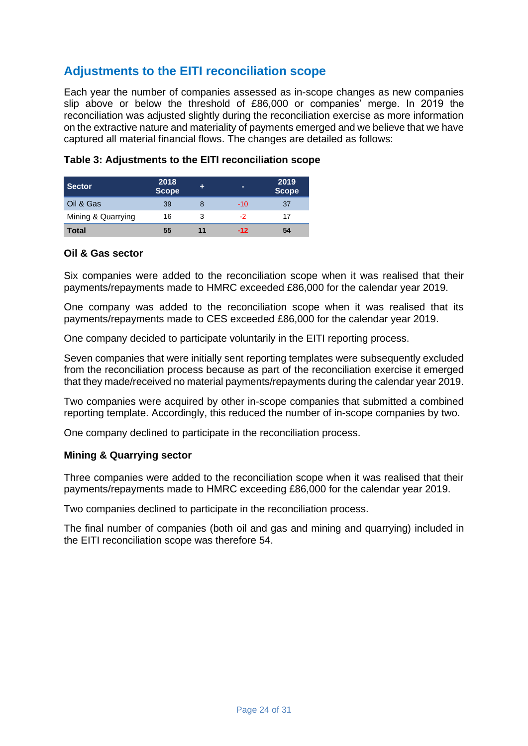## **Adjustments to the EITI reconciliation scope**

Each year the number of companies assessed as in-scope changes as new companies slip above or below the threshold of £86,000 or companies' merge. In 2019 the reconciliation was adjusted slightly during the reconciliation exercise as more information on the extractive nature and materiality of payments emerged and we believe that we have captured all material financial flows. The changes are detailed as follows:

| <b>Sector</b>      | 2018<br><b>Scope</b> |   |       | 2019<br><b>Scope</b> |
|--------------------|----------------------|---|-------|----------------------|
| Oil & Gas          | 39                   |   | $-10$ | 37                   |
| Mining & Quarrying | 16                   | 3 | -2    | 17                   |
| <b>Total</b>       | 55                   |   | $-12$ | 54                   |

#### **Table 3: Adjustments to the EITI reconciliation scope**

#### **Oil & Gas sector**

Six companies were added to the reconciliation scope when it was realised that their payments/repayments made to HMRC exceeded £86,000 for the calendar year 2019.

One company was added to the reconciliation scope when it was realised that its payments/repayments made to CES exceeded £86,000 for the calendar year 2019.

One company decided to participate voluntarily in the EITI reporting process.

Seven companies that were initially sent reporting templates were subsequently excluded from the reconciliation process because as part of the reconciliation exercise it emerged that they made/received no material payments/repayments during the calendar year 2019.

Two companies were acquired by other in-scope companies that submitted a combined reporting template. Accordingly, this reduced the number of in-scope companies by two.

One company declined to participate in the reconciliation process.

#### **Mining & Quarrying sector**

Three companies were added to the reconciliation scope when it was realised that their payments/repayments made to HMRC exceeding £86,000 for the calendar year 2019.

Two companies declined to participate in the reconciliation process.

The final number of companies (both oil and gas and mining and quarrying) included in the EITI reconciliation scope was therefore 54.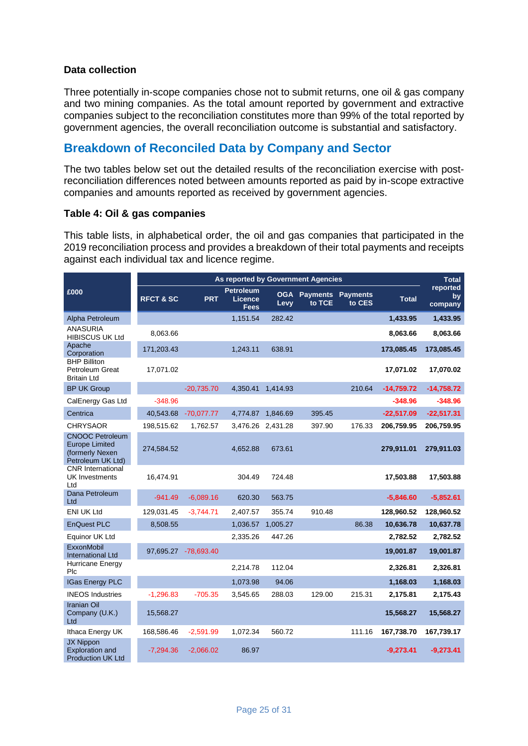#### **Data collection**

Three potentially in-scope companies chose not to submit returns, one oil & gas company and two mining companies. As the total amount reported by government and extractive companies subject to the reconciliation constitutes more than 99% of the total reported by government agencies, the overall reconciliation outcome is substantial and satisfactory.

## **Breakdown of Reconciled Data by Company and Sector**

The two tables below set out the detailed results of the reconciliation exercise with postreconciliation differences noted between amounts reported as paid by in-scope extractive companies and amounts reported as received by government agencies.

#### **Table 4: Oil & gas companies**

This table lists, in alphabetical order, the oil and gas companies that participated in the 2019 reconciliation process and provides a breakdown of their total payments and receipts against each individual tax and licence regime.

|                                                                                         | As reported by Government Agencies |                      |                                                   |                    |                           |                           |              |                           |  |  |
|-----------------------------------------------------------------------------------------|------------------------------------|----------------------|---------------------------------------------------|--------------------|---------------------------|---------------------------|--------------|---------------------------|--|--|
| £000                                                                                    | <b>RFCT &amp; SC</b>               | <b>PRT</b>           | <b>Petroleum</b><br><b>Licence</b><br><b>Fees</b> | <b>OGA</b><br>Levy | <b>Payments</b><br>to TCE | <b>Payments</b><br>to CES | <b>Total</b> | reported<br>by<br>company |  |  |
| Alpha Petroleum                                                                         |                                    |                      | 1,151.54                                          | 282.42             |                           |                           | 1,433.95     | 1,433.95                  |  |  |
| <b>ANASURIA</b><br><b>HIBISCUS UK Ltd</b>                                               | 8,063.66                           |                      |                                                   |                    |                           |                           | 8,063.66     | 8,063.66                  |  |  |
| Apache<br>Corporation                                                                   | 171,203.43                         |                      | 1,243.11                                          | 638.91             |                           |                           | 173,085.45   | 173,085.45                |  |  |
| <b>BHP Billiton</b><br>Petroleum Great<br><b>Britain Ltd</b>                            | 17,071.02                          |                      |                                                   |                    |                           |                           | 17,071.02    | 17,070.02                 |  |  |
| <b>BP UK Group</b>                                                                      |                                    | $-20,735.70$         | 4,350.41                                          | 1.414.93           |                           | 210.64                    | $-14,759.72$ | $-14,758.72$              |  |  |
| CalEnergy Gas Ltd                                                                       | $-348.96$                          |                      |                                                   |                    |                           |                           | $-348.96$    | $-348.96$                 |  |  |
| Centrica                                                                                | 40,543.68                          | $-70,077.77$         | 4,774.87                                          | 1,846.69           | 395.45                    |                           | $-22,517.09$ | $-22,517.31$              |  |  |
| <b>CHRYSAOR</b>                                                                         | 198,515.62                         | 1,762.57             | 3,476.26                                          | 2,431.28           | 397.90                    | 176.33                    | 206,759.95   | 206,759.95                |  |  |
| <b>CNOOC Petroleum</b><br><b>Europe Limited</b><br>(formerly Nexen<br>Petroleum UK Ltd) | 274,584.52                         |                      | 4,652.88                                          | 673.61             |                           |                           | 279,911.01   | 279,911.03                |  |  |
| <b>CNR</b> International<br><b>UK Investments</b><br>Ltd                                | 16,474.91                          |                      | 304.49                                            | 724.48             |                           |                           | 17,503.88    | 17,503.88                 |  |  |
| Dana Petroleum<br>Ltd                                                                   | $-941.49$                          | $-6,089.16$          | 620.30                                            | 563.75             |                           |                           | $-5,846.60$  | $-5,852.61$               |  |  |
| <b>ENI UK Ltd</b>                                                                       | 129,031.45                         | $-3,744.71$          | 2,407.57                                          | 355.74             | 910.48                    |                           | 128,960.52   | 128,960.52                |  |  |
| <b>EnQuest PLC</b>                                                                      | 8,508.55                           |                      | 1,036.57                                          | 1,005.27           |                           | 86.38                     | 10,636.78    | 10,637.78                 |  |  |
| Equinor UK Ltd                                                                          |                                    |                      | 2,335.26                                          | 447.26             |                           |                           | 2,782.52     | 2,782.52                  |  |  |
| ExxonMobil<br><b>International Ltd</b>                                                  |                                    | 97,695.27 -78,693.40 |                                                   |                    |                           |                           | 19,001.87    | 19,001.87                 |  |  |
| Hurricane Energy<br>Plc                                                                 |                                    |                      | 2,214.78                                          | 112.04             |                           |                           | 2,326.81     | 2,326.81                  |  |  |
| <b>IGas Energy PLC</b>                                                                  |                                    |                      | 1,073.98                                          | 94.06              |                           |                           | 1,168.03     | 1,168.03                  |  |  |
| <b>INEOS Industries</b>                                                                 | $-1,296.83$                        | $-705.35$            | 3,545.65                                          | 288.03             | 129.00                    | 215.31                    | 2,175.81     | 2,175.43                  |  |  |
| <b>Iranian Oil</b><br>Company (U.K.)<br>Ltd                                             | 15,568.27                          |                      |                                                   |                    |                           |                           | 15,568.27    | 15,568.27                 |  |  |
| Ithaca Energy UK                                                                        | 168,586.46                         | $-2,591.99$          | 1,072.34                                          | 560.72             |                           | 111.16                    | 167,738.70   | 167,739.17                |  |  |
| JX Nippon<br><b>Exploration and</b><br><b>Production UK Ltd</b>                         | $-7,294.36$                        | $-2,066.02$          | 86.97                                             |                    |                           |                           | $-9,273.41$  | $-9,273.41$               |  |  |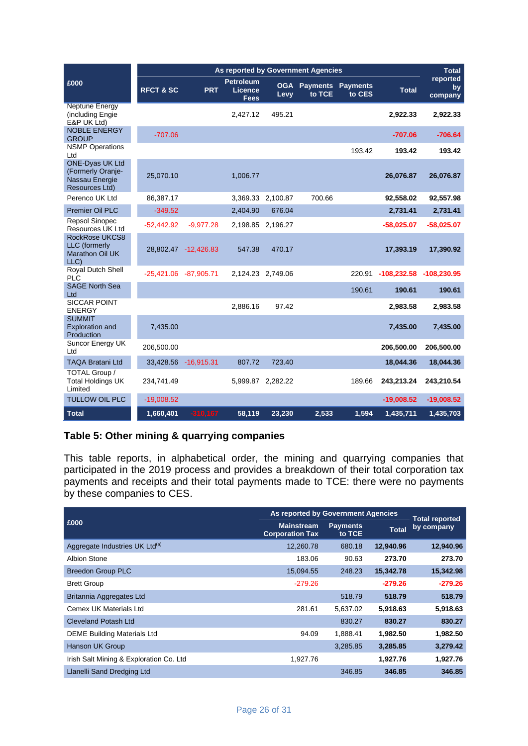|                                                                                 | As reported by Government Agencies |                      |                                                   |                    |                           |                           |               |                           |  |
|---------------------------------------------------------------------------------|------------------------------------|----------------------|---------------------------------------------------|--------------------|---------------------------|---------------------------|---------------|---------------------------|--|
| £000                                                                            | <b>RFCT &amp; SC</b>               | <b>PRT</b>           | <b>Petroleum</b><br><b>Licence</b><br><b>Fees</b> | <b>OGA</b><br>Levy | <b>Payments</b><br>to TCE | <b>Payments</b><br>to CES | <b>Total</b>  | reported<br>by<br>company |  |
| Neptune Energy<br>(including Engie<br>E&P UK Ltd)                               |                                    |                      | 2,427.12                                          | 495.21             |                           |                           | 2,922.33      | 2,922.33                  |  |
| <b>NOBLE ENERGY</b><br><b>GROUP</b>                                             | $-707.06$                          |                      |                                                   |                    |                           |                           | $-707.06$     | $-706.64$                 |  |
| <b>NSMP Operations</b><br>Ltd<br><b>ONE-Dyas UK Ltd</b>                         |                                    |                      |                                                   |                    |                           | 193.42                    | 193.42        | 193.42                    |  |
| (Formerly Oranje-<br>Nassau Energie<br>Resources Ltd)                           | 25,070.10                          |                      | 1,006.77                                          |                    |                           |                           | 26,076.87     | 26,076.87                 |  |
| Perenco UK Ltd                                                                  | 86,387.17                          |                      |                                                   | 3,369.33 2,100.87  | 700.66                    |                           | 92,558.02     | 92,557.98                 |  |
| <b>Premier Oil PLC</b>                                                          | $-349.52$                          |                      | 2,404.90                                          | 676.04             |                           |                           | 2,731.41      | 2,731.41                  |  |
| <b>Repsol Sinopec</b><br><b>Resources UK Ltd</b>                                | $-52,442.92$                       | $-9,977.28$          |                                                   | 2,198.85 2,196.27  |                           |                           | $-58,025.07$  | $-58,025.07$              |  |
| <b>RockRose UKCS8</b><br><b>LLC</b> (formerly<br><b>Marathon Oil UK</b><br>LLC) |                                    | 28,802.47 -12,426.83 | 547.38                                            | 470.17             |                           |                           | 17,393.19     | 17,390.92                 |  |
| Royal Dutch Shell<br>PLC                                                        | -25,421.06 -87,905.71              |                      |                                                   | 2,124.23 2,749.06  |                           | 220.91                    | $-108,232.58$ | $-108,230.95$             |  |
| <b>SAGE North Sea</b><br>Ltd                                                    |                                    |                      |                                                   |                    |                           | 190.61                    | 190.61        | 190.61                    |  |
| <b>SICCAR POINT</b><br><b>ENERGY</b>                                            |                                    |                      | 2,886.16                                          | 97.42              |                           |                           | 2,983.58      | 2,983.58                  |  |
| <b>SUMMIT</b><br><b>Exploration and</b><br>Production                           | 7,435.00                           |                      |                                                   |                    |                           |                           | 7,435.00      | 7,435.00                  |  |
| Suncor Energy UK<br>Ltd                                                         | 206,500.00                         |                      |                                                   |                    |                           |                           | 206,500.00    | 206,500.00                |  |
| <b>TAQA Bratani Ltd</b>                                                         | 33,428.56                          | $-16,915.31$         | 807.72                                            | 723.40             |                           |                           | 18,044.36     | 18,044.36                 |  |
| TOTAL Group /<br><b>Total Holdings UK</b><br>Limited                            | 234,741.49                         |                      |                                                   | 5,999.87 2,282.22  |                           | 189.66                    | 243,213.24    | 243,210.54                |  |
| <b>TULLOW OIL PLC</b>                                                           | $-19,008.52$                       |                      |                                                   |                    |                           |                           | $-19,008.52$  | $-19,008.52$              |  |
| <b>Total</b>                                                                    | 1,660,401                          | $-310,167$           | 58,119                                            | 23,230             | 2,533                     | 1,594                     | 1,435,711     | 1,435,703                 |  |

#### **Table 5: Other mining & quarrying companies**

This table reports, in alphabetical order, the mining and quarrying companies that participated in the 2019 process and provides a breakdown of their total corporation tax payments and receipts and their total payments made to TCE: there were no payments by these companies to CES.

|                                            | As reported by Government Agencies          |                           |              |                                     |  |  |
|--------------------------------------------|---------------------------------------------|---------------------------|--------------|-------------------------------------|--|--|
| £000                                       | <b>Mainstream</b><br><b>Corporation Tax</b> | <b>Payments</b><br>to TCE | <b>Total</b> | <b>Total reported</b><br>by company |  |  |
| Aggregate Industries UK Ltd <sup>(a)</sup> | 12,260.78                                   | 680.18                    | 12,940.96    | 12,940.96                           |  |  |
| <b>Albion Stone</b>                        | 183.06                                      | 90.63                     | 273.70       | 273.70                              |  |  |
| <b>Breedon Group PLC</b>                   | 15,094.55                                   | 248.23                    | 15,342.78    | 15,342.98                           |  |  |
| <b>Brett Group</b>                         | $-279.26$                                   |                           | $-279.26$    | $-279.26$                           |  |  |
| Britannia Aggregates Ltd                   |                                             | 518.79                    | 518.79       | 518.79                              |  |  |
| Cemex UK Materials Ltd                     | 281.61                                      | 5,637.02                  | 5,918.63     | 5,918.63                            |  |  |
| <b>Cleveland Potash Ltd</b>                |                                             | 830.27                    | 830.27       | 830.27                              |  |  |
| <b>DEME Building Materials Ltd</b>         | 94.09                                       | 1,888.41                  | 1,982.50     | 1,982.50                            |  |  |
| Hanson UK Group                            |                                             | 3.285.85                  | 3,285.85     | 3,279.42                            |  |  |
| Irish Salt Mining & Exploration Co. Ltd    | 1,927.76                                    |                           | 1,927.76     | 1,927.76                            |  |  |
| Llanelli Sand Dredging Ltd                 |                                             | 346.85                    | 346.85       | 346.85                              |  |  |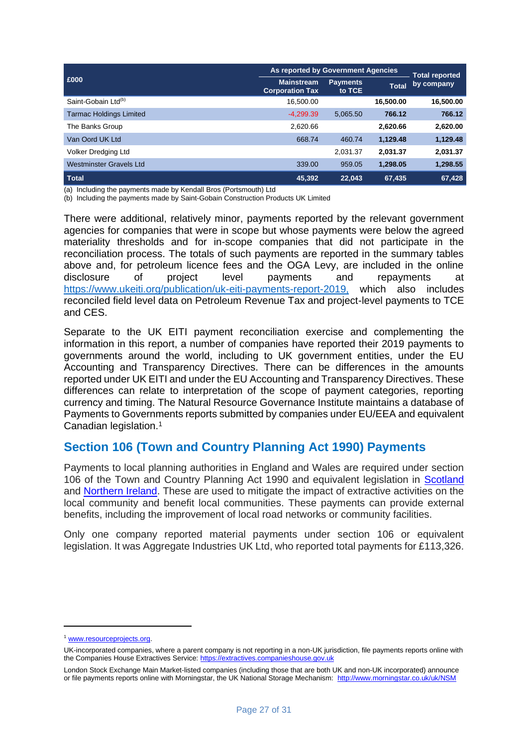|                                 | As reported by Government Agencies          |                     |              |                                     |  |  |
|---------------------------------|---------------------------------------------|---------------------|--------------|-------------------------------------|--|--|
| £000                            | <b>Mainstream</b><br><b>Corporation Tax</b> | Payments,<br>to TCE | <b>Total</b> | <b>Total reported</b><br>by company |  |  |
| Saint-Gobain Ltd <sup>(b)</sup> | 16,500.00                                   |                     | 16,500.00    | 16,500.00                           |  |  |
| <b>Tarmac Holdings Limited</b>  | $-4.299.39$                                 | 5,065.50            | 766.12       | 766.12                              |  |  |
| The Banks Group                 | 2,620.66                                    |                     | 2.620.66     | 2,620.00                            |  |  |
| Van Oord UK Ltd                 | 668.74                                      | 460.74              | 1,129.48     | 1,129.48                            |  |  |
| Volker Dredging Ltd             |                                             | 2,031.37            | 2.031.37     | 2,031.37                            |  |  |
| Westminster Gravels Ltd         | 339.00                                      | 959.05              | 1,298.05     | 1,298.55                            |  |  |
| <b>Total</b>                    | 45.392                                      | 22.043              | 67.435       | 67,428                              |  |  |

(a) Including the payments made by Kendall Bros (Portsmouth) Ltd

(b) Including the payments made by Saint-Gobain Construction Products UK Limited

There were additional, relatively minor, payments reported by the relevant government agencies for companies that were in scope but whose payments were below the agreed materiality thresholds and for in-scope companies that did not participate in the reconciliation process. The totals of such payments are reported in the summary tables above and, for petroleum licence fees and the OGA Levy, are included in the online disclosure of project level payments and repayments at [https://www.ukeiti.org/publication/uk-eiti-payments-report-2019,](https://www.ukeiti.org/publication/uk-eiti-annual-review-2020-including-payments-data-2019) which also includes reconciled field level data on Petroleum Revenue Tax and project-level payments to TCE and CES.

Separate to the UK EITI payment reconciliation exercise and complementing the information in this report, a number of companies have reported their 2019 payments to governments around the world, including to UK government entities, under the EU Accounting and Transparency Directives. There can be differences in the amounts reported under UK EITI and under the EU Accounting and Transparency Directives. These differences can relate to interpretation of the scope of payment categories, reporting currency and timing. The Natural Resource Governance Institute maintains a database of Payments to Governments reports submitted by companies under EU/EEA and equivalent Canadian legislation.<sup>1</sup>

#### **Section 106 (Town and Country Planning Act 1990) Payments**

Payments to local planning authorities in England and Wales are required under section 106 of the Town and Country Planning Act 1990 and equivalent legislation in [Scotland](https://www.legislation.gov.uk/ukpga/1997/8/section/75) and [Northern Ireland.](https://www.legislation.gov.uk/nisi/1991/1220/contents) These are used to mitigate the impact of extractive activities on the local community and benefit local communities. These payments can provide external benefits, including the improvement of local road networks or community facilities.

Only one company reported material payments under section 106 or equivalent legislation. It was Aggregate Industries UK Ltd, who reported total payments for £113,326.

<sup>1</sup> [www.resourceprojects.org.](http://www.resourceprojects.org/)

UK-incorporated companies, where a parent company is not reporting in a non-UK jurisdiction, file payments reports online with the Companies House Extractives Service: [https://extractives.companieshouse.gov.uk](https://extractives.companieshouse.gov.uk/)

London Stock Exchange Main Market-listed companies (including those that are both UK and non-UK incorporated) announce or file payments reports online with Morningstar, the UK National Storage Mechanism:<http://www.morningstar.co.uk/uk/NSM>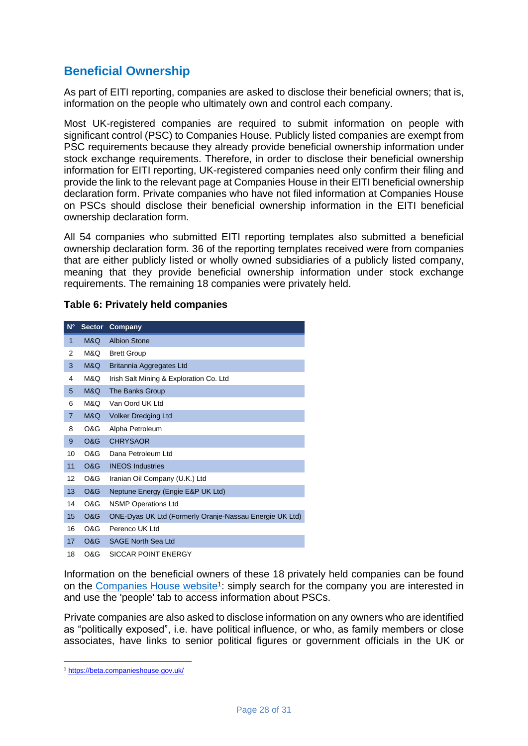## **Beneficial Ownership**

As part of EITI reporting, companies are asked to disclose their beneficial owners; that is, information on the people who ultimately own and control each company.

Most UK-registered companies are required to submit information on people with significant control (PSC) t[o Companies House.](http://download.companieshouse.gov.uk/en_pscdata.html) Publicly listed companies are exempt from PSC requirements because they already provide beneficial ownership information under stock exchange requirements. Therefore, in order to disclose their beneficial ownership information for EITI reporting, UK-registered companies need only confirm their filing and provide the link to the relevant page at Companies House in their EITI beneficial ownership declaration form. Private companies who have not filed information at Companies House on PSCs should disclose their beneficial ownership information in the EITI beneficial ownership declaration form.

All 54 companies who submitted EITI reporting templates also submitted a beneficial ownership declaration form. 36 of the reporting templates received were from companies that are either publicly listed or wholly owned subsidiaries of a publicly listed company, meaning that they provide beneficial ownership information under stock exchange requirements. The remaining 18 companies were privately held.

| $N^{\circ}$    | <b>Sector</b>  | Company                                                 |
|----------------|----------------|---------------------------------------------------------|
| 1              | M&Q            | <b>Albion Stone</b>                                     |
| 2              | M&Q            | <b>Brett Group</b>                                      |
| 3              | M&Q            | Britannia Aggregates Ltd                                |
| 4              | M&Q            | Irish Salt Mining & Exploration Co. Ltd                 |
| 5              | M&Q            | The Banks Group                                         |
| 6              | M&O            | Van Oord UK Ltd                                         |
| $\overline{7}$ | <b>M&amp;Q</b> | <b>Volker Dredging Ltd</b>                              |
| 8              | O&G            | Alpha Petroleum                                         |
| 9              | <b>O&amp;G</b> | <b>CHRYSAOR</b>                                         |
| 10             | O&G            | Dana Petroleum Ltd                                      |
| 11             | <b>O&amp;G</b> | <b>INEOS</b> Industries                                 |
| 12             | O&G            | Iranian Oil Company (U.K.) Ltd                          |
| 13             | O&G            | Neptune Energy (Engie E&P UK Ltd)                       |
| 14             | O&G            | <b>NSMP Operations Ltd</b>                              |
| 15             | <b>O&amp;G</b> | ONE-Dyas UK Ltd (Formerly Oranje-Nassau Energie UK Ltd) |
| 16             | O&G            | Perenco UK I td                                         |
| 17             | O&G            | <b>SAGE North Sea Ltd</b>                               |
| 18             | O&G            | SICCAR POINT ENERGY                                     |

Information on the beneficial owners of these 18 privately held companies can be found on the [Companies House website](https://www.gov.uk/government/organisations/companies-house)<sup>1</sup>: simply search for the company you are interested in and use the 'people' tab to access information about PSCs.

Private companies are also asked to disclose information on any owners who are identified as "politically exposed", i.e. have political influence, or who, as family members or close associates, have links to senior political figures or government officials in the UK or

<sup>1</sup> <https://beta.companieshouse.gov.uk/>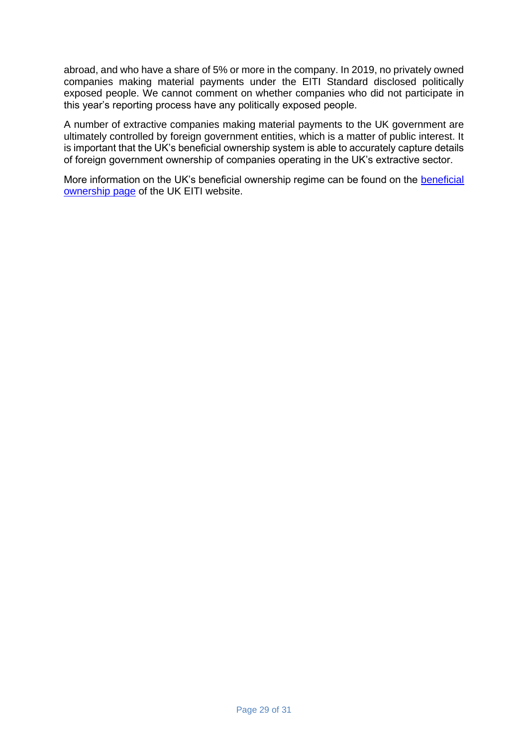abroad, and who have a share of 5% or more in the company. In 2019, no privately owned companies making material payments under the EITI Standard disclosed politically exposed people. We cannot comment on whether companies who did not participate in this year's reporting process have any politically exposed people.

A number of extractive companies making material payments to the UK government are ultimately controlled by foreign government entities, which is a matter of public interest. It is important that the UK's beneficial ownership system is able to accurately capture details of foreign government ownership of companies operating in the UK's extractive sector.

More information on the UK's beneficial ownership regime can be found on the [beneficial](https://www.ukeiti.org/beneficial-ownership)  [ownership page](https://www.ukeiti.org/beneficial-ownership) of the UK EITI website.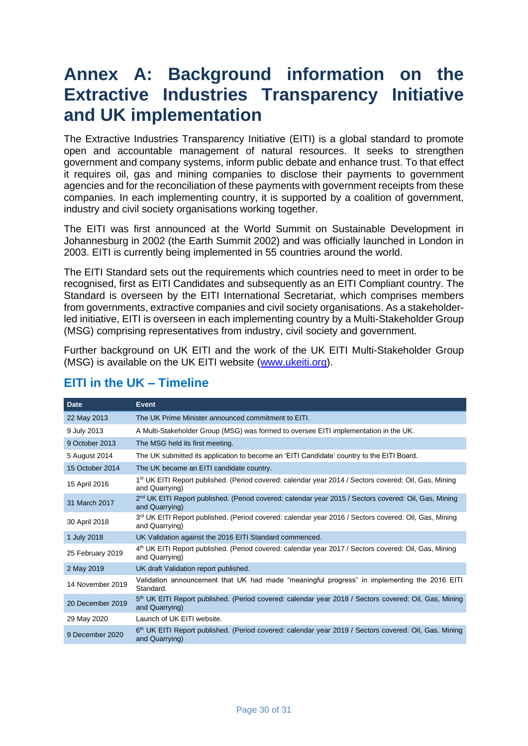# **Annex A: Background information on the Extractive Industries Transparency Initiative and UK implementation**

The Extractive Industries Transparency Initiative (EITI) is a global standard to promote open and accountable management of natural resources. It seeks to strengthen government and company systems, inform public debate and enhance trust. To that effect it requires oil, gas and mining companies to disclose their payments to government agencies and for the reconciliation of these payments with government receipts from these companies. In each implementing country, it is supported by a coalition of government, industry and civil society organisations working together.

The EITI was first announced at the World Summit on Sustainable Development in Johannesburg in 2002 (the Earth Summit 2002) and was officially launched in London in 2003. EITI is currently being implemented in 55 countries around the world.

The EITI Standard sets out the requirements which countries need to meet in order to be recognised, first as EITI Candidates and subsequently as an EITI Compliant country. The Standard is overseen by the EITI International Secretariat, which comprises members from governments, extractive companies and civil society organisations. As a stakeholderled initiative, EITI is overseen in each implementing country by a Multi-Stakeholder Group (MSG) comprising representatives from industry, civil society and government.

Further background on UK EITI and the work of the UK EITI Multi-Stakeholder Group (MSG) is available on the UK EITI website [\(www.ukeiti.org\)](http://www.ukeiti.org/).

| <b>Date</b>      | Event                                                                                                                               |
|------------------|-------------------------------------------------------------------------------------------------------------------------------------|
| 22 May 2013      | The UK Prime Minister announced commitment to EITI.                                                                                 |
| 9 July 2013      | A Multi-Stakeholder Group (MSG) was formed to oversee EITI implementation in the UK.                                                |
| 9 October 2013   | The MSG held its first meeting.                                                                                                     |
| 5 August 2014    | The UK submitted its application to become an 'EITI Candidate' country to the EITI Board.                                           |
| 15 October 2014  | The UK became an EITI candidate country.                                                                                            |
| 15 April 2016    | 1 <sup>st</sup> UK EITI Report published. (Period covered: calendar year 2014 / Sectors covered: Oil, Gas, Mining<br>and Quarrying) |
| 31 March 2017    | 2 <sup>nd</sup> UK EITI Report published. (Period covered: calendar year 2015 / Sectors covered: Oil, Gas, Mining<br>and Quarrying) |
| 30 April 2018    | 3 <sup>rd</sup> UK EITI Report published. (Period covered: calendar year 2016 / Sectors covered: Oil, Gas, Mining<br>and Quarrying) |
| 1 July 2018      | UK Validation against the 2016 EITI Standard commenced.                                                                             |
| 25 February 2019 | 4th UK EITI Report published. (Period covered: calendar year 2017 / Sectors covered: Oil, Gas, Mining<br>and Quarrying)             |
| 2 May 2019       | UK draft Validation report published.                                                                                               |
| 14 November 2019 | Validation announcement that UK had made "meaningful progress" in implementing the 2016 EITI<br>Standard.                           |
| 20 December 2019 | 5 <sup>th</sup> UK EITI Report published. (Period covered: calendar year 2018 / Sectors covered: Oil, Gas, Mining<br>and Quarrying) |
| 29 May 2020      | Launch of UK EITI website.                                                                                                          |
| 9 December 2020  | 6 <sup>th</sup> UK EITI Report published. (Period covered: calendar year 2019 / Sectors covered: Oil, Gas, Mining<br>and Quarrying) |

## **EITI in the UK – Timeline**